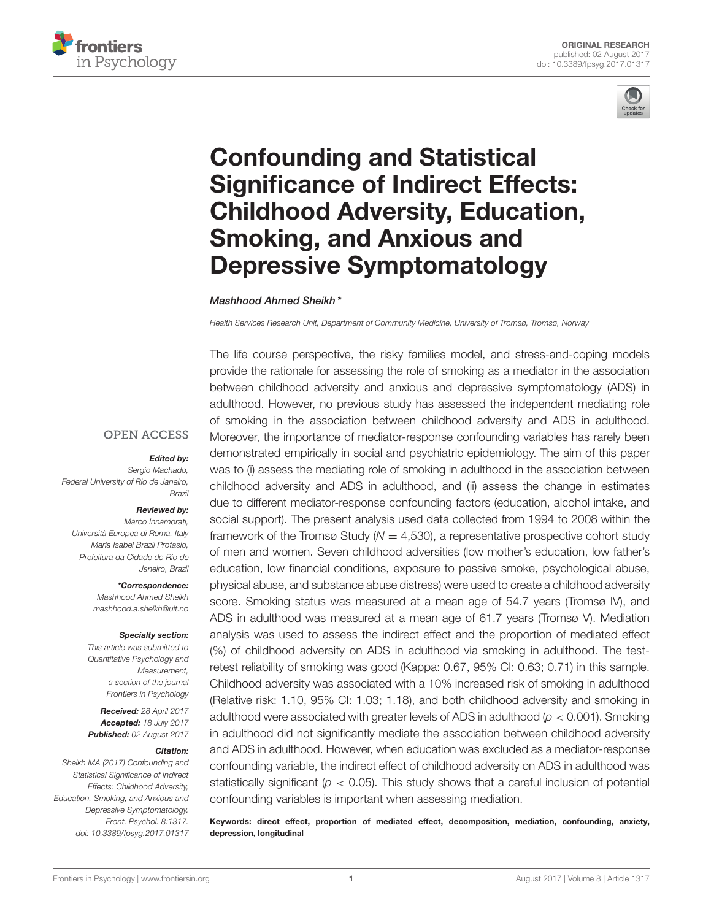



# Confounding and Statistical Significance of Indirect Effects: [Childhood Adversity, Education,](http://journal.frontiersin.org/article/10.3389/fpsyg.2017.01317/abstract) Smoking, and Anxious and Depressive Symptomatology

#### [Mashhood Ahmed Sheikh](http://loop.frontiersin.org/people/287324/overview)\*

Health Services Research Unit, Department of Community Medicine, University of Tromsø, Tromsø, Norway

**OPEN ACCESS** 

#### Edited by:

Sergio Machado, Federal University of Rio de Janeiro, Brazil

#### Reviewed by:

Marco Innamorati, Università Europea di Roma, Italy Maria Isabel Brazil Protasio, Prefeitura da Cidade do Rio de Janeiro, Brazil

\*Correspondence:

Mashhood Ahmed Sheikh [mashhood.a.sheikh@uit.no](mailto:mashhood.a.sheikh@uit.no)

#### Specialty section:

This article was submitted to Quantitative Psychology and Measurement, a section of the journal Frontiers in Psychology

Received: 28 April 2017 Accepted: 18 July 2017 Published: 02 August 2017

#### Citation:

Sheikh MA (2017) Confounding and Statistical Significance of Indirect Effects: Childhood Adversity, Education, Smoking, and Anxious and Depressive Symptomatology. Front. Psychol. 8:1317. doi: [10.3389/fpsyg.2017.01317](https://doi.org/10.3389/fpsyg.2017.01317) The life course perspective, the risky families model, and stress-and-coping models provide the rationale for assessing the role of smoking as a mediator in the association between childhood adversity and anxious and depressive symptomatology (ADS) in adulthood. However, no previous study has assessed the independent mediating role of smoking in the association between childhood adversity and ADS in adulthood. Moreover, the importance of mediator-response confounding variables has rarely been demonstrated empirically in social and psychiatric epidemiology. The aim of this paper was to (i) assess the mediating role of smoking in adulthood in the association between childhood adversity and ADS in adulthood, and (ii) assess the change in estimates due to different mediator-response confounding factors (education, alcohol intake, and social support). The present analysis used data collected from 1994 to 2008 within the framework of the Tromsø Study ( $N = 4,530$ ), a representative prospective cohort study of men and women. Seven childhood adversities (low mother's education, low father's education, low financial conditions, exposure to passive smoke, psychological abuse, physical abuse, and substance abuse distress) were used to create a childhood adversity score. Smoking status was measured at a mean age of 54.7 years (Tromsø IV), and ADS in adulthood was measured at a mean age of 61.7 years (Tromsø V). Mediation analysis was used to assess the indirect effect and the proportion of mediated effect (%) of childhood adversity on ADS in adulthood via smoking in adulthood. The testretest reliability of smoking was good (Kappa: 0.67, 95% CI: 0.63; 0.71) in this sample. Childhood adversity was associated with a 10% increased risk of smoking in adulthood (Relative risk: 1.10, 95% CI: 1.03; 1.18), and both childhood adversity and smoking in adulthood were associated with greater levels of ADS in adulthood ( $p < 0.001$ ). Smoking in adulthood did not significantly mediate the association between childhood adversity and ADS in adulthood. However, when education was excluded as a mediator-response confounding variable, the indirect effect of childhood adversity on ADS in adulthood was statistically significant ( $p < 0.05$ ). This study shows that a careful inclusion of potential confounding variables is important when assessing mediation.

Keywords: direct effect, proportion of mediated effect, decomposition, mediation, confounding, anxiety, depression, longitudinal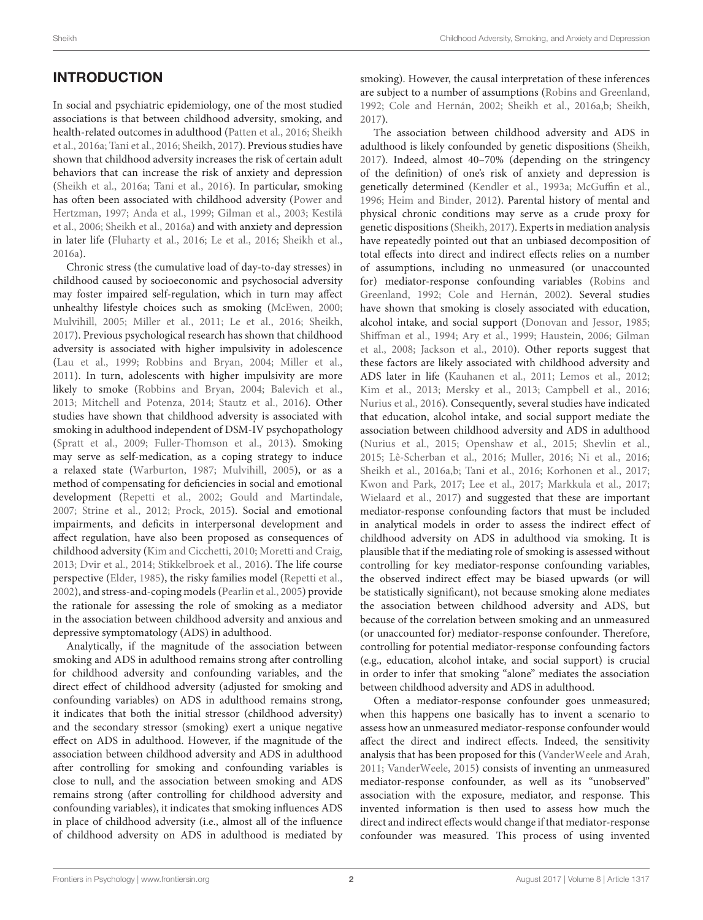## INTRODUCTION

In social and psychiatric epidemiology, one of the most studied associations is that between childhood adversity, smoking, and health-related outcomes in adulthood [\(Patten et al., 2016;](#page-9-0) Sheikh et al., [2016a;](#page-10-0) [Tani et al., 2016;](#page-10-1) [Sheikh, 2017\)](#page-10-2). Previous studies have shown that childhood adversity increases the risk of certain adult behaviors that can increase the risk of anxiety and depression [\(Sheikh et al., 2016a;](#page-10-0) [Tani et al., 2016\)](#page-10-1). In particular, smoking has often been associated with childhood adversity (Power and Hertzman, [1997;](#page-10-3) [Anda et al., 1999;](#page-7-0) [Gilman et al., 2003;](#page-8-0) Kestilä et al., [2006;](#page-8-1) [Sheikh et al., 2016a\)](#page-10-0) and with anxiety and depression in later life [\(Fluharty et al., 2016;](#page-8-2) [Le et al., 2016;](#page-9-1) [Sheikh et al.,](#page-10-0) [2016a\)](#page-10-0).

Chronic stress (the cumulative load of day-to-day stresses) in childhood caused by socioeconomic and psychosocial adversity may foster impaired self-regulation, which in turn may affect unhealthy lifestyle choices such as smoking [\(McEwen, 2000;](#page-9-2) [Mulvihill, 2005;](#page-9-3) [Miller et al., 2011;](#page-9-4) [Le et al., 2016;](#page-9-1) [Sheikh,](#page-10-2) [2017\)](#page-10-2). Previous psychological research has shown that childhood adversity is associated with higher impulsivity in adolescence [\(Lau et al., 1999;](#page-9-5) [Robbins and Bryan, 2004;](#page-10-4) [Miller et al.,](#page-9-4) [2011\)](#page-9-4). In turn, adolescents with higher impulsivity are more likely to smoke [\(Robbins and Bryan, 2004;](#page-10-4) [Balevich et al.,](#page-7-1) [2013;](#page-7-1) [Mitchell and Potenza, 2014;](#page-9-6) [Stautz et al., 2016\)](#page-10-5). Other studies have shown that childhood adversity is associated with smoking in adulthood independent of DSM-IV psychopathology [\(Spratt et al., 2009;](#page-10-6) [Fuller-Thomson et al., 2013\)](#page-8-3). Smoking may serve as self-medication, as a coping strategy to induce a relaxed state [\(Warburton, 1987;](#page-10-7) [Mulvihill, 2005\)](#page-9-3), or as a method of compensating for deficiencies in social and emotional development [\(Repetti et al., 2002;](#page-10-8) [Gould and Martindale,](#page-8-4) [2007;](#page-8-4) [Strine et al., 2012;](#page-10-9) [Prock, 2015\)](#page-10-10). Social and emotional impairments, and deficits in interpersonal development and affect regulation, have also been proposed as consequences of childhood adversity [\(Kim and Cicchetti, 2010;](#page-8-5) [Moretti and Craig,](#page-9-7) [2013;](#page-9-7) [Dvir et al., 2014;](#page-8-6) [Stikkelbroek et al., 2016\)](#page-10-11). The life course perspective [\(Elder, 1985\)](#page-8-7), the risky families model [\(Repetti et al.,](#page-10-8) [2002\)](#page-10-8), and stress-and-coping models [\(Pearlin et al., 2005\)](#page-10-12) provide the rationale for assessing the role of smoking as a mediator in the association between childhood adversity and anxious and depressive symptomatology (ADS) in adulthood.

Analytically, if the magnitude of the association between smoking and ADS in adulthood remains strong after controlling for childhood adversity and confounding variables, and the direct effect of childhood adversity (adjusted for smoking and confounding variables) on ADS in adulthood remains strong, it indicates that both the initial stressor (childhood adversity) and the secondary stressor (smoking) exert a unique negative effect on ADS in adulthood. However, if the magnitude of the association between childhood adversity and ADS in adulthood after controlling for smoking and confounding variables is close to null, and the association between smoking and ADS remains strong (after controlling for childhood adversity and confounding variables), it indicates that smoking influences ADS in place of childhood adversity (i.e., almost all of the influence of childhood adversity on ADS in adulthood is mediated by smoking). However, the causal interpretation of these inferences are subject to a number of assumptions [\(Robins and Greenland,](#page-10-13) [1992;](#page-10-13) [Cole and Hernán, 2002;](#page-7-2) [Sheikh et al., 2016a](#page-10-0)[,b;](#page-10-14) [Sheikh,](#page-10-2) [2017\)](#page-10-2).

The association between childhood adversity and ADS in adulthood is likely confounded by genetic dispositions [\(Sheikh,](#page-10-2) [2017\)](#page-10-2). Indeed, almost 40–70% (depending on the stringency of the definition) of one's risk of anxiety and depression is genetically determined [\(Kendler et al., 1993a;](#page-8-8) [McGuffin et al.,](#page-9-8) [1996;](#page-9-8) [Heim and Binder, 2012\)](#page-8-9). Parental history of mental and physical chronic conditions may serve as a crude proxy for genetic dispositions [\(Sheikh, 2017\)](#page-10-2). Experts in mediation analysis have repeatedly pointed out that an unbiased decomposition of total effects into direct and indirect effects relies on a number of assumptions, including no unmeasured (or unaccounted for) mediator-response confounding variables (Robins and Greenland, [1992;](#page-10-13) [Cole and Hernán, 2002\)](#page-7-2). Several studies have shown that smoking is closely associated with education, alcohol intake, and social support [\(Donovan and Jessor, 1985;](#page-8-10) [Shiffman et al., 1994;](#page-10-15) [Ary et al., 1999;](#page-7-3) [Haustein, 2006;](#page-8-11) Gilman et al., [2008;](#page-8-12) [Jackson et al., 2010\)](#page-8-13). Other reports suggest that these factors are likely associated with childhood adversity and ADS later in life [\(Kauhanen et al., 2011;](#page-8-14) [Lemos et al., 2012;](#page-9-9) [Kim et al., 2013;](#page-8-15) [Mersky et al., 2013;](#page-9-10) [Campbell et al., 2016;](#page-7-4) [Nurius et al., 2016\)](#page-9-11). Consequently, several studies have indicated that education, alcohol intake, and social support mediate the association between childhood adversity and ADS in adulthood [\(Nurius et al., 2015;](#page-9-12) [Openshaw et al., 2015;](#page-9-13) [Shevlin et al.,](#page-10-16) [2015;](#page-10-16) [Lê-Scherban et al., 2016;](#page-9-14) [Muller, 2016;](#page-9-15) [Ni et al., 2016;](#page-9-16) [Sheikh et al., 2016a,](#page-10-0)[b;](#page-10-14) [Tani et al., 2016;](#page-10-1) [Korhonen et al., 2017;](#page-8-16) [Kwon and Park, 2017;](#page-9-17) [Lee et al., 2017;](#page-9-18) [Markkula et al., 2017;](#page-9-19) [Wielaard et al., 2017\)](#page-11-0) and suggested that these are important mediator-response confounding factors that must be included in analytical models in order to assess the indirect effect of childhood adversity on ADS in adulthood via smoking. It is plausible that if the mediating role of smoking is assessed without controlling for key mediator-response confounding variables, the observed indirect effect may be biased upwards (or will be statistically significant), not because smoking alone mediates the association between childhood adversity and ADS, but because of the correlation between smoking and an unmeasured (or unaccounted for) mediator-response confounder. Therefore, controlling for potential mediator-response confounding factors (e.g., education, alcohol intake, and social support) is crucial in order to infer that smoking "alone" mediates the association between childhood adversity and ADS in adulthood.

Often a mediator-response confounder goes unmeasured; when this happens one basically has to invent a scenario to assess how an unmeasured mediator-response confounder would affect the direct and indirect effects. Indeed, the sensitivity analysis that has been proposed for this [\(VanderWeele and Arah,](#page-10-17) [2011;](#page-10-17) [VanderWeele, 2015\)](#page-10-18) consists of inventing an unmeasured mediator-response confounder, as well as its "unobserved" association with the exposure, mediator, and response. This invented information is then used to assess how much the direct and indirect effects would change if that mediator-response confounder was measured. This process of using invented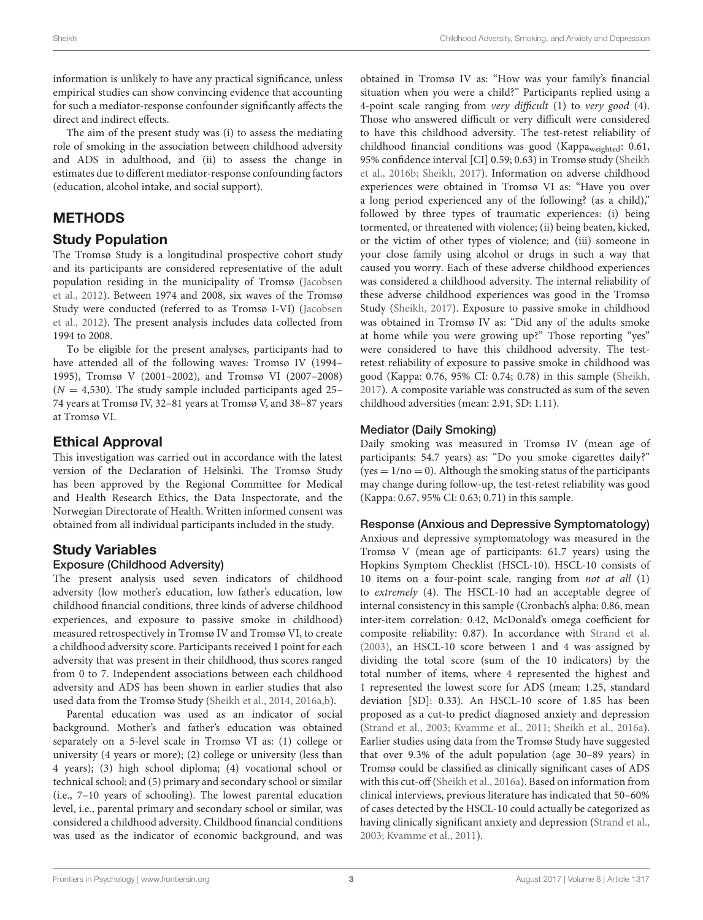information is unlikely to have any practical significance, unless empirical studies can show convincing evidence that accounting for such a mediator-response confounder significantly affects the direct and indirect effects.

The aim of the present study was (i) to assess the mediating role of smoking in the association between childhood adversity and ADS in adulthood, and (ii) to assess the change in estimates due to different mediator-response confounding factors (education, alcohol intake, and social support).

## METHODS

## Study Population

The Tromsø Study is a longitudinal prospective cohort study and its participants are considered representative of the adult population residing in the municipality of Tromsø (Jacobsen et al., [2012\)](#page-8-17). Between 1974 and 2008, six waves of the Tromsø Study were conducted (referred to as Tromsø I-VI) (Jacobsen et al., [2012\)](#page-8-17). The present analysis includes data collected from 1994 to 2008.

To be eligible for the present analyses, participants had to have attended all of the following waves: Tromsø IV (1994– 1995), Tromsø V (2001–2002), and Tromsø VI (2007–2008)  $(N = 4,530)$ . The study sample included participants aged 25– 74 years at Tromsø IV, 32–81 years at Tromsø V, and 38–87 years at Tromsø VI.

## Ethical Approval

This investigation was carried out in accordance with the latest version of the Declaration of Helsinki. The Tromsø Study has been approved by the Regional Committee for Medical and Health Research Ethics, the Data Inspectorate, and the Norwegian Directorate of Health. Written informed consent was obtained from all individual participants included in the study.

# Study Variables

## Exposure (Childhood Adversity)

The present analysis used seven indicators of childhood adversity (low mother's education, low father's education, low childhood financial conditions, three kinds of adverse childhood experiences, and exposure to passive smoke in childhood) measured retrospectively in Tromsø IV and Tromsø VI, to create a childhood adversity score. Participants received 1 point for each adversity that was present in their childhood, thus scores ranged from 0 to 7. Independent associations between each childhood adversity and ADS has been shown in earlier studies that also used data from the Tromsø Study [\(Sheikh et al., 2014,](#page-10-19) [2016a,](#page-10-0)[b\)](#page-10-14).

Parental education was used as an indicator of social background. Mother's and father's education was obtained separately on a 5-level scale in Tromsø VI as: (1) college or university (4 years or more); (2) college or university (less than 4 years); (3) high school diploma; (4) vocational school or technical school; and (5) primary and secondary school or similar (i.e., 7–10 years of schooling). The lowest parental education level, i.e., parental primary and secondary school or similar, was considered a childhood adversity. Childhood financial conditions was used as the indicator of economic background, and was obtained in Tromsø IV as: "How was your family's financial situation when you were a child?" Participants replied using a 4-point scale ranging from very difficult (1) to very good (4). Those who answered difficult or very difficult were considered to have this childhood adversity. The test-retest reliability of childhood financial conditions was good (Kappaweighted: 0.61, 95% confidence interval [CI] 0.59; 0.63) in Tromsø study (Sheikh et al., [2016b;](#page-10-14) [Sheikh, 2017\)](#page-10-2). Information on adverse childhood experiences were obtained in Tromsø VI as: "Have you over a long period experienced any of the following? (as a child)," followed by three types of traumatic experiences: (i) being tormented, or threatened with violence; (ii) being beaten, kicked, or the victim of other types of violence; and (iii) someone in your close family using alcohol or drugs in such a way that caused you worry. Each of these adverse childhood experiences was considered a childhood adversity. The internal reliability of these adverse childhood experiences was good in the Tromsø Study [\(Sheikh, 2017\)](#page-10-2). Exposure to passive smoke in childhood was obtained in Tromsø IV as: "Did any of the adults smoke at home while you were growing up?" Those reporting "yes" were considered to have this childhood adversity. The testretest reliability of exposure to passive smoke in childhood was good (Kappa: 0.76, 95% CI: 0.74; 0.78) in this sample [\(Sheikh,](#page-10-2) [2017\)](#page-10-2). A composite variable was constructed as sum of the seven childhood adversities (mean: 2.91, SD: 1.11).

## Mediator (Daily Smoking)

Daily smoking was measured in Tromsø IV (mean age of participants: 54.7 years) as: "Do you smoke cigarettes daily?"  $(yes = 1/no = 0)$ . Although the smoking status of the participants may change during follow-up, the test-retest reliability was good (Kappa: 0.67, 95% CI: 0.63; 0.71) in this sample.

## Response (Anxious and Depressive Symptomatology)

Anxious and depressive symptomatology was measured in the Tromsø V (mean age of participants: 61.7 years) using the Hopkins Symptom Checklist (HSCL-10). HSCL-10 consists of 10 items on a four-point scale, ranging from not at all (1) to extremely (4). The HSCL-10 had an acceptable degree of internal consistency in this sample (Cronbach's alpha: 0.86, mean inter-item correlation: 0.42, McDonald's omega coefficient for composite reliability: 0.87). In accordance with [Strand et al.](#page-10-20) [\(2003\)](#page-10-20), an HSCL-10 score between 1 and 4 was assigned by dividing the total score (sum of the 10 indicators) by the total number of items, where 4 represented the highest and 1 represented the lowest score for ADS (mean: 1.25, standard deviation [SD]: 0.33). An HSCL-10 score of 1.85 has been proposed as a cut-to predict diagnosed anxiety and depression [\(Strand et al., 2003;](#page-10-20) [Kvamme et al., 2011;](#page-9-20) [Sheikh et al., 2016a\)](#page-10-0). Earlier studies using data from the Tromsø Study have suggested that over 9.3% of the adult population (age 30–89 years) in Tromsø could be classified as clinically significant cases of ADS with this cut-off [\(Sheikh et al., 2016a\)](#page-10-0). Based on information from clinical interviews, previous literature has indicated that 50–60% of cases detected by the HSCL-10 could actually be categorized as having clinically significant anxiety and depression [\(Strand et al.,](#page-10-20) [2003;](#page-10-20) [Kvamme et al., 2011\)](#page-9-20).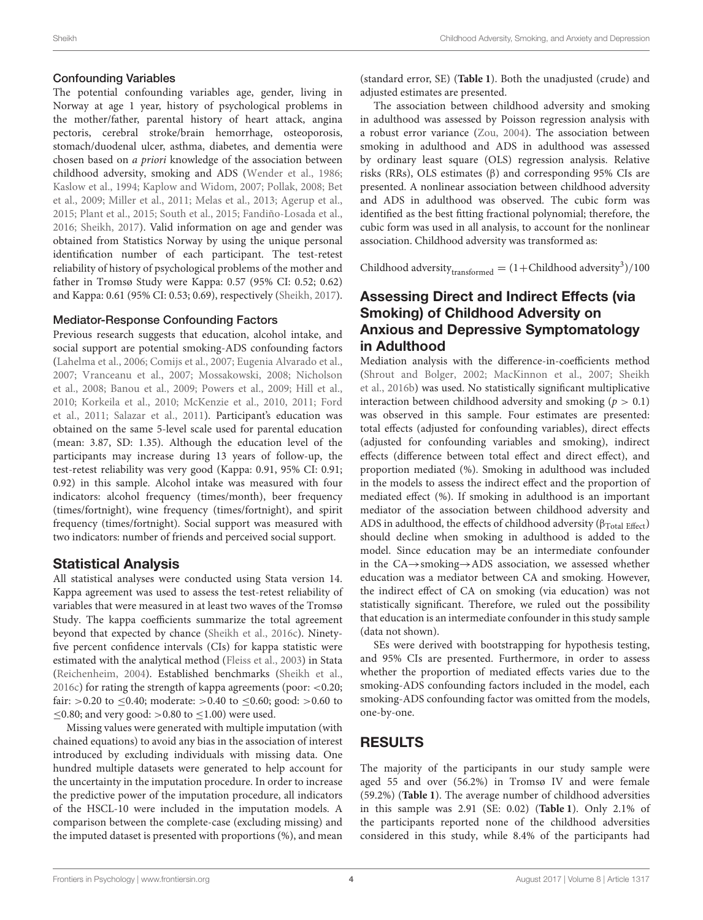### Confounding Variables

The potential confounding variables age, gender, living in Norway at age 1 year, history of psychological problems in the mother/father, parental history of heart attack, angina pectoris, cerebral stroke/brain hemorrhage, osteoporosis, stomach/duodenal ulcer, asthma, diabetes, and dementia were chosen based on a priori knowledge of the association between childhood adversity, smoking and ADS [\(Wender et al., 1986;](#page-11-1) [Kaslow et al., 1994;](#page-8-18) [Kaplow and Widom, 2007;](#page-8-19) [Pollak, 2008;](#page-10-21) Bet et al., [2009;](#page-7-5) [Miller et al., 2011;](#page-9-4) [Melas et al., 2013;](#page-9-21) [Agerup et al.,](#page-7-6) [2015;](#page-7-6) [Plant et al., 2015;](#page-10-22) [South et al., 2015;](#page-10-23) [Fandiño-Losada](#page-8-20) et al., [2016;](#page-8-20) [Sheikh, 2017\)](#page-10-2). Valid information on age and gender was obtained from Statistics Norway by using the unique personal identification number of each participant. The test-retest reliability of history of psychological problems of the mother and father in Tromsø Study were Kappa: 0.57 (95% CI: 0.52; 0.62) and Kappa: 0.61 (95% CI: 0.53; 0.69), respectively [\(Sheikh, 2017\)](#page-10-2).

#### Mediator-Response Confounding Factors

Previous research suggests that education, alcohol intake, and social support are potential smoking-ADS confounding factors [\(Lahelma et al., 2006;](#page-9-22) [Comijs et al., 2007;](#page-7-7) [Eugenia Alvarado et al.,](#page-8-21) [2007;](#page-8-21) [Vranceanu et al., 2007;](#page-10-24) [Mossakowski, 2008;](#page-9-23) Nicholson et al., [2008;](#page-9-24) [Banou et al., 2009;](#page-7-8) [Powers et al., 2009;](#page-10-25) [Hill et al.,](#page-8-22) [2010;](#page-8-22) [Korkeila et al., 2010;](#page-8-23) [McKenzie et al., 2010,](#page-9-25) [2011;](#page-9-26) Ford et al., [2011;](#page-8-24) [Salazar et al., 2011\)](#page-10-26). Participant's education was obtained on the same 5-level scale used for parental education (mean: 3.87, SD: 1.35). Although the education level of the participants may increase during 13 years of follow-up, the test-retest reliability was very good (Kappa: 0.91, 95% CI: 0.91; 0.92) in this sample. Alcohol intake was measured with four indicators: alcohol frequency (times/month), beer frequency (times/fortnight), wine frequency (times/fortnight), and spirit frequency (times/fortnight). Social support was measured with two indicators: number of friends and perceived social support.

## Statistical Analysis

All statistical analyses were conducted using Stata version 14. Kappa agreement was used to assess the test-retest reliability of variables that were measured in at least two waves of the Tromsø Study. The kappa coefficients summarize the total agreement beyond that expected by chance [\(Sheikh et al., 2016c\)](#page-10-27). Ninetyfive percent confidence intervals (CIs) for kappa statistic were estimated with the analytical method [\(Fleiss et al., 2003\)](#page-8-25) in Stata [\(Reichenheim, 2004\)](#page-10-28). Established benchmarks [\(Sheikh et al.,](#page-10-27) [2016c\)](#page-10-27) for rating the strength of kappa agreements (poor: <0.20; fair: >0.20 to  $\leq$ 0.40; moderate: >0.40 to  $\leq$ 0.60; good: >0.60 to  $\leq$ 0.80; and very good: >0.80 to  $\leq$ 1.00) were used.

Missing values were generated with multiple imputation (with chained equations) to avoid any bias in the association of interest introduced by excluding individuals with missing data. One hundred multiple datasets were generated to help account for the uncertainty in the imputation procedure. In order to increase the predictive power of the imputation procedure, all indicators of the HSCL-10 were included in the imputation models. A comparison between the complete-case (excluding missing) and the imputed dataset is presented with proportions (%), and mean (standard error, SE) (**[Table 1](#page-4-0)**). Both the unadjusted (crude) and adjusted estimates are presented.

The association between childhood adversity and smoking in adulthood was assessed by Poisson regression analysis with a robust error variance [\(Zou, 2004\)](#page-11-2). The association between smoking in adulthood and ADS in adulthood was assessed by ordinary least square (OLS) regression analysis. Relative risks (RRs), OLS estimates (β) and corresponding 95% CIs are presented. A nonlinear association between childhood adversity and ADS in adulthood was observed. The cubic form was identified as the best fitting fractional polynomial; therefore, the cubic form was used in all analysis, to account for the nonlinear association. Childhood adversity was transformed as:

Childhood adversity $_{\text{transformed}} = (1 + \text{Childhood adversary}^3)/100$ 

## Assessing Direct and Indirect Effects (via Smoking) of Childhood Adversity on Anxious and Depressive Symptomatology in Adulthood

Mediation analysis with the difference-in-coefficients method [\(Shrout and Bolger, 2002;](#page-10-29) [MacKinnon et al., 2007;](#page-9-27) Sheikh et al., [2016b\)](#page-10-14) was used. No statistically significant multiplicative interaction between childhood adversity and smoking ( $p > 0.1$ ) was observed in this sample. Four estimates are presented: total effects (adjusted for confounding variables), direct effects (adjusted for confounding variables and smoking), indirect effects (difference between total effect and direct effect), and proportion mediated (%). Smoking in adulthood was included in the models to assess the indirect effect and the proportion of mediated effect (%). If smoking in adulthood is an important mediator of the association between childhood adversity and ADS in adulthood, the effects of childhood adversity ( $\beta_{Total Effect}$ ) should decline when smoking in adulthood is added to the model. Since education may be an intermediate confounder in the CA→smoking→ADS association, we assessed whether education was a mediator between CA and smoking. However, the indirect effect of CA on smoking (via education) was not statistically significant. Therefore, we ruled out the possibility that education is an intermediate confounder in this study sample (data not shown).

SEs were derived with bootstrapping for hypothesis testing, and 95% CIs are presented. Furthermore, in order to assess whether the proportion of mediated effects varies due to the smoking-ADS confounding factors included in the model, each smoking-ADS confounding factor was omitted from the models, one-by-one.

## RESULTS

The majority of the participants in our study sample were aged 55 and over (56.2%) in Tromsø IV and were female (59.2%) (**[Table 1](#page-4-0)**). The average number of childhood adversities in this sample was 2.91 (SE: 0.02) (**[Table 1](#page-4-0)**). Only 2.1% of the participants reported none of the childhood adversities considered in this study, while 8.4% of the participants had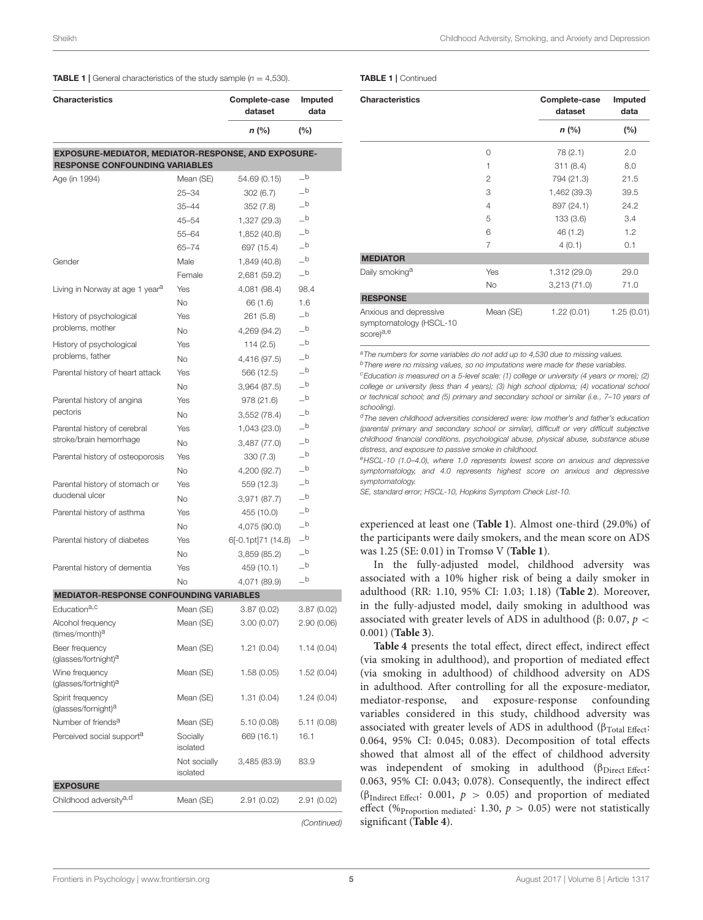#### <span id="page-4-0"></span>**TABLE 1** | General characteristics of the study sample ( $n = 4,530$ ).

| <b>Characteristics</b>                              |                          | Complete-case<br>dataset | Imputed<br>data |
|-----------------------------------------------------|--------------------------|--------------------------|-----------------|
|                                                     |                          | n (%)                    | $(\%)$          |
| EXPOSURE-MEDIATOR, MEDIATOR-RESPONSE, AND EXPOSURE- |                          |                          |                 |
| <b>RESPONSE CONFOUNDING VARIABLES</b>               |                          |                          | $\_b$           |
| Age (in 1994)                                       | Mean (SE)                | 54.69 (0.15)             | $-b$            |
|                                                     | $25 - 34$                | 302 (6.7)                | $\_b$           |
|                                                     | $35 - 44$                | 352 (7.8)                | $\_b$           |
|                                                     | $45 - 54$                | 1,327 (29.3)             | $\_b$           |
|                                                     | $55 - 64$                | 1,852 (40.8)             | $-b$            |
|                                                     | 65-74                    | 697 (15.4)               | $\_b$           |
| Gender                                              | Male                     | 1,849 (40.8)             | $\_b$           |
|                                                     | Female                   | 2,681 (59.2)             |                 |
| Living in Norway at age 1 year <sup>a</sup>         | Yes                      | 4,081 (98.4)             | 98.4            |
|                                                     | No                       | 66 (1.6)                 | 1.6             |
| History of psychological                            | Yes                      | 261 (5.8)                | $\_b$           |
| problems, mother                                    | Nο                       | 4,269 (94.2)             | $\_b$           |
| History of psychological                            | Yes                      | 114(2.5)                 | $-b$            |
| problems, father                                    | <b>No</b>                | 4,416 (97.5)             | $-b$            |
| Parental history of heart attack                    | Yes                      | 566 (12.5)               | $-b$            |
|                                                     | <b>No</b>                | 3,964 (87.5)             | $\_b$           |
| Parental history of angina                          | Yes                      | 978 (21.6)               | $\_b$           |
| pectoris                                            | No                       | 3,552 (78.4)             | $\_b$           |
| Parental history of cerebral                        | Yes                      | 1,043 (23.0)             | $\_b$           |
| stroke/brain hemorrhage                             | <b>No</b>                | 3,487 (77.0)             | $\_b$           |
| Parental history of osteoporosis                    | Yes                      | 330 (7.3)                | $_b$            |
|                                                     | <b>No</b>                | 4,200 (92.7)             | $\_b$           |
| Parental history of stomach or                      | Yes                      | 559 (12.3)               | $\_b$           |
| duodenal ulcer                                      | <b>No</b>                | 3,971 (87.7)             | $-b$            |
| Parental history of asthma                          | Yes                      | 455 (10.0)               | $-b$            |
|                                                     | <b>No</b>                | 4,075 (90.0)             | $-b$            |
| Parental history of diabetes                        | Yes                      | 6[-0.1pt]71 (14.8)       | $\_b$           |
|                                                     | <b>No</b>                | 3,859 (85.2)             | $-b$            |
| Parental history of dementia                        | Yes                      | 459 (10.1)               | $\_b$           |
|                                                     | <b>No</b>                | 4,071 (89.9)             | $\_b$           |
| <b>MEDIATOR-RESPONSE CONFOUNDING VARIABLES</b>      |                          |                          |                 |
| Education <sup>a,c</sup>                            | Mean (SE)                | 3.87(0.02)               | 3.87 (0.02)     |
| Alcohol frequency<br>(times/month) <sup>a</sup>     | Mean (SE)                | 3.00(0.07)               | 2.90 (0.06)     |
| Beer frequency<br>(glasses/fortnight) <sup>a</sup>  | Mean (SE)                | 1.21(0.04)               | 1.14(0.04)      |
| Wine frequency<br>(glasses/fortnight) <sup>a</sup>  | Mean (SE)                | 1.58(0.05)               | 1.52(0.04)      |
| Spirit frequency<br>(glasses/fornight) <sup>a</sup> | Mean (SE)                | 1.31(0.04)               | 1.24(0.04)      |
| Number of friends <sup>a</sup>                      | Mean (SE)                | 5.10(0.08)               | 5.11 (0.08)     |
| Perceived social support <sup>a</sup>               | Socially<br>isolated     | 669 (16.1)               | 16.1            |
|                                                     | Not socially<br>isolated | 3,485 (83.9)             | 83.9            |
| <b>EXPOSURE</b>                                     |                          |                          |                 |
| Childhood adversity <sup>a,d</sup>                  | Mean (SE)                | 2.91 (0.02)              | 2.91 (0.02)     |

(Continued)

#### TABLE 1 | Continued

| <b>Characteristics</b>                                                     |           | Complete-case<br>dataset | Imputed<br>data |  |
|----------------------------------------------------------------------------|-----------|--------------------------|-----------------|--|
|                                                                            |           | n (%)                    | (%)             |  |
|                                                                            | 0         | 78(2.1)                  | 2.0             |  |
|                                                                            | 1         | 311(8.4)                 | 8.0             |  |
|                                                                            | 2         | 794 (21.3)               | 21.5            |  |
|                                                                            | 3         | 1,462 (39.3)             | 39.5            |  |
|                                                                            | 4         | 897 (24.1)               | 24.2            |  |
|                                                                            | 5         | 133(3.6)                 | 3.4             |  |
|                                                                            | 6         | 46 (1.2)                 | 1.2             |  |
|                                                                            | 7         | 4(0.1)                   | 0.1             |  |
| <b>MEDIATOR</b>                                                            |           |                          |                 |  |
| Daily smoking <sup>a</sup>                                                 | Yes       | 1,312 (29.0)             | 29.0            |  |
|                                                                            | <b>No</b> | 3,213 (71.0)             | 71.0            |  |
| <b>RESPONSE</b>                                                            |           |                          |                 |  |
| Anxious and depressive<br>symptomatology (HSCL-10<br>score) <sup>a,e</sup> | Mean (SE) | 1.22(0.01)               | 1.25(0.01)      |  |

<sup>a</sup>The numbers for some variables do not add up to 4,530 due to missing values.

 $<sup>b</sup>$  There were no missing values, so no imputations were made for these variables.</sup>

<sup>c</sup>Education is measured on a 5-level scale: (1) college or university (4 years or more); (2) college or university (less than 4 years); (3) high school diploma; (4) vocational school or technical school; and (5) primary and secondary school or similar (i.e., 7–10 years of schooling).

 $d$ The seven childhood adversities considered were: low mother's and father's education (parental primary and secondary school or similar), difficult or very difficult subjective childhood financial conditions. psychological abuse, physical abuse, substance abuse distress, and exposure to passive smoke in childhood.

 $e$ HSCL-10 (1.0–4.0), where 1.0 represents lowest score on anxious and depressive symptomatology, and 4.0 represents highest score on anxious and depressive symptomatology.

SE, standard error; HSCL-10, Hopkins Symptom Check List-10.

experienced at least one (**[Table 1](#page-4-0)**). Almost one-third (29.0%) of the participants were daily smokers, and the mean score on ADS was 1.25 (SE: 0.01) in Tromsø V (**[Table 1](#page-4-0)**).

In the fully-adjusted model, childhood adversity was associated with a 10% higher risk of being a daily smoker in adulthood (RR: 1.10, 95% CI: 1.03; 1.18) (**[Table 2](#page-5-0)**). Moreover, in the fully-adjusted model, daily smoking in adulthood was associated with greater levels of ADS in adulthood (β: 0.07,  $p$  < 0.001) (**[Table 3](#page-5-1)**).

**[Table 4](#page-6-0)** presents the total effect, direct effect, indirect effect (via smoking in adulthood), and proportion of mediated effect (via smoking in adulthood) of childhood adversity on ADS in adulthood. After controlling for all the exposure-mediator, mediator-response, and exposure-response confounding variables considered in this study, childhood adversity was associated with greater levels of ADS in adulthood ( $β<sub>Total Effect</sub>$ : 0.064, 95% CI: 0.045; 0.083). Decomposition of total effects showed that almost all of the effect of childhood adversity was independent of smoking in adulthood  $(\beta_{Direct Effect})$ 0.063, 95% CI: 0.043; 0.078). Consequently, the indirect effect ( $\beta$ Indirect Effect: 0.001,  $p > 0.05$ ) and proportion of mediated effect (% Proportion mediated: 1.30,  $p > 0.05$ ) were not statistically significant (**[Table 4](#page-6-0)**).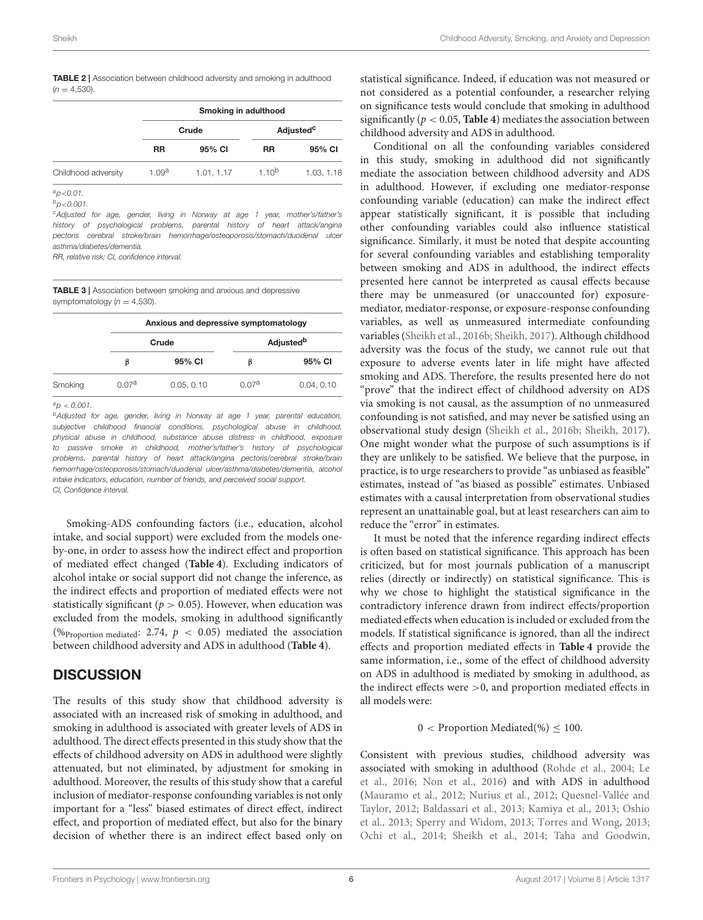<span id="page-5-0"></span>

|                 | <b>TABLE 2</b>   Association between childhood adversity and smoking in adulthood |  |  |  |
|-----------------|-----------------------------------------------------------------------------------|--|--|--|
| $(n = 4,530)$ . |                                                                                   |  |  |  |

|                     | Smoking in adulthood |            |                       |            |
|---------------------|----------------------|------------|-----------------------|------------|
|                     | Crude                |            | Adjusted <sup>c</sup> |            |
|                     | <b>RR</b>            | 95% CI     | <b>RR</b>             | 95% CI     |
| Childhood adversity | 1.09 <sup>a</sup>    | 1.01, 1.17 | $1.10^{b}$            | 1.03, 1.18 |

 $a_{p<0.01}$ .  $b_{D<0.001}$ 

<sup>c</sup>Adjusted for age, gender, living in Norway at age 1 year, mother's/father's history of psychological problems, parental history of heart attack/angina pectoris cerebral stroke/brain hemorrhage/osteoporosis/stomach/duodenal ulcer asthma/diabetes/dementia.

RR, relative risk; CI, confidence interval.

<span id="page-5-1"></span>TABLE 3 | Association between smoking and anxious and depressive symptomatology ( $n = 4,530$ ).

|                 | Anxious and depressive symptomatology |           |                              |            |
|-----------------|---------------------------------------|-----------|------------------------------|------------|
|                 | Crude                                 |           | <b>Adjusted</b> <sup>b</sup> |            |
|                 | β                                     | 95% CI    |                              | 95% CI     |
| Smoking         | 0.07a                                 | 0.05.0.10 | 0.07a                        | 0.04, 0.10 |
| $a_n$ , $0.001$ |                                       |           |                              |            |

<sup>a</sup>p < 0.001.

<sup>b</sup>Adjusted for age, gender, living in Norway at age 1 year, parental education, subjective childhood financial conditions, psychological abuse in childhood, physical abuse in childhood, substance abuse distress in childhood, exposure to passive smoke in childhood, mother's/father's history of psychological problems, parental history of heart attack/angina pectoris/cerebral stroke/brain hemorrhage/osteoporosis/stomach/duodenal ulcer/asthma/diabetes/dementia, alcohol intake indicators, education, number of friends, and perceived social support. CI, Confidence interval.

Smoking-ADS confounding factors (i.e., education, alcohol intake, and social support) were excluded from the models oneby-one, in order to assess how the indirect effect and proportion of mediated effect changed (**[Table 4](#page-6-0)**). Excluding indicators of alcohol intake or social support did not change the inference, as the indirect effects and proportion of mediated effects were not statistically significant ( $p > 0.05$ ). However, when education was excluded from the models, smoking in adulthood significantly (%Proportion mediated: 2.74,  $p < 0.05$ ) mediated the association between childhood adversity and ADS in adulthood (**[Table 4](#page-6-0)**).

## **DISCUSSION**

The results of this study show that childhood adversity is associated with an increased risk of smoking in adulthood, and smoking in adulthood is associated with greater levels of ADS in adulthood. The direct effects presented in this study show that the effects of childhood adversity on ADS in adulthood were slightly attenuated, but not eliminated, by adjustment for smoking in adulthood. Moreover, the results of this study show that a careful inclusion of mediator-response confounding variables is not only important for a "less" biased estimates of direct effect, indirect effect, and proportion of mediated effect, but also for the binary decision of whether there is an indirect effect based only on statistical significance. Indeed, if education was not measured or not considered as a potential confounder, a researcher relying on significance tests would conclude that smoking in adulthood significantly ( $p < 0.05$ , **[Table 4](#page-6-0)**) mediates the association between childhood adversity and ADS in adulthood.

Conditional on all the confounding variables considered in this study, smoking in adulthood did not significantly mediate the association between childhood adversity and ADS in adulthood. However, if excluding one mediator-response confounding variable (education) can make the indirect effect appear statistically significant, it is possible that including other confounding variables could also influence statistical significance. Similarly, it must be noted that despite accounting for several confounding variables and establishing temporality between smoking and ADS in adulthood, the indirect effects presented here cannot be interpreted as causal effects because there may be unmeasured (or unaccounted for) exposuremediator, mediator-response, or exposure-response confounding variables, as well as unmeasured intermediate confounding variables [\(Sheikh et al., 2016b;](#page-10-14) [Sheikh, 2017\)](#page-10-2). Although childhood adversity was the focus of the study, we cannot rule out that exposure to adverse events later in life might have affected smoking and ADS. Therefore, the results presented here do not "prove" that the indirect effect of childhood adversity on ADS via smoking is not causal, as the assumption of no unmeasured confounding is not satisfied, and may never be satisfied using an observational study design [\(Sheikh et al., 2016b;](#page-10-14) [Sheikh, 2017\)](#page-10-2). One might wonder what the purpose of such assumptions is if they are unlikely to be satisfied. We believe that the purpose, in practice, is to urge researchers to provide "as unbiased as feasible" estimates, instead of "as biased as possible" estimates. Unbiased estimates with a causal interpretation from observational studies represent an unattainable goal, but at least researchers can aim to reduce the "error" in estimates.

It must be noted that the inference regarding indirect effects is often based on statistical significance. This approach has been criticized, but for most journals publication of a manuscript relies (directly or indirectly) on statistical significance. This is why we chose to highlight the statistical significance in the contradictory inference drawn from indirect effects/proportion mediated effects when education is included or excluded from the models. If statistical significance is ignored, than all the indirect effects and proportion mediated effects in **[Table 4](#page-6-0)** provide the same information, i.e., some of the effect of childhood adversity on ADS in adulthood is mediated by smoking in adulthood, as the indirect effects were >0, and proportion mediated effects in all models were:

#### 0 < Proportion Mediated(%)  $\leq$  100.

Consistent with previous studies, childhood adversity was associated with smoking in adulthood [\(Rohde et al., 2004;](#page-10-30) Le et al., [2016;](#page-9-1) [Non et al., 2016\)](#page-9-28) and with ADS in adulthood [\(Mauramo et al., 2012;](#page-9-29) [Nurius et al., 2012;](#page-9-30) Quesnel-Vallée and Taylor, [2012;](#page-10-31) [Baldassari et al., 2013;](#page-7-9) [Kamiya et al., 2013;](#page-8-26) Oshio et al., [2013;](#page-9-31) [Sperry and Widom, 2013;](#page-10-32) [Torres and Wong, 2013;](#page-10-33) [Ochi et al., 2014;](#page-9-32) [Sheikh et al., 2014;](#page-10-19) [Taha and Goodwin,](#page-10-34)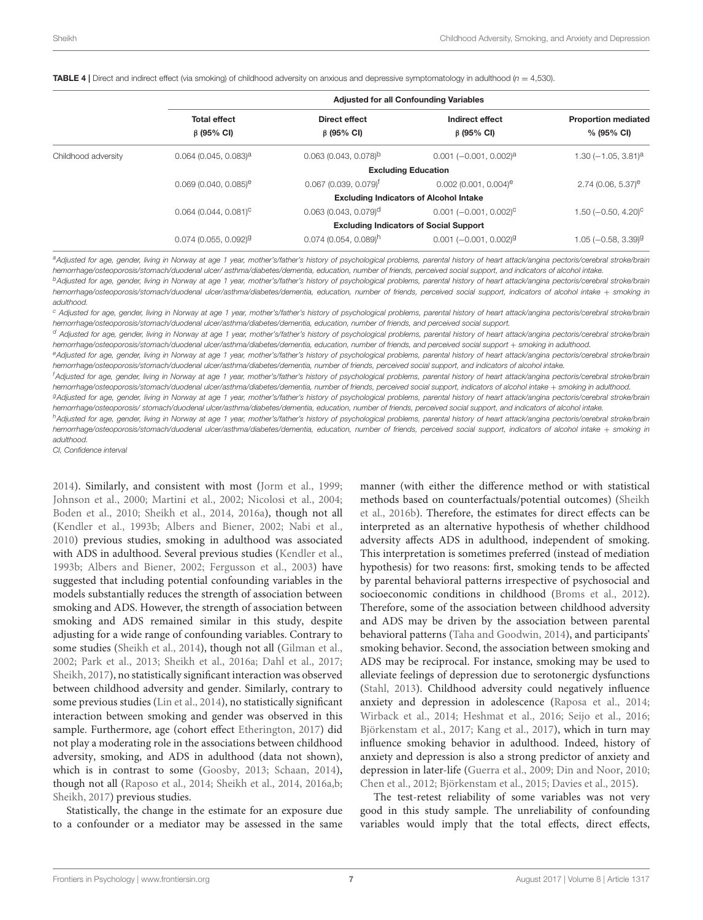|                     | <b>Adjusted for all Confounding Variables</b> |                                     |                                      |                                          |  |  |  |
|---------------------|-----------------------------------------------|-------------------------------------|--------------------------------------|------------------------------------------|--|--|--|
|                     | <b>Total effect</b><br>$\beta$ (95% CI)       | Direct effect<br>$\beta$ (95% CI)   | Indirect effect<br>$\beta$ (95% CI)  | <b>Proportion mediated</b><br>% (95% CI) |  |  |  |
| Childhood adversity | $0.064$ (0.045, 0.083) <sup>a</sup>           | $0.063(0.043, 0.078)^b$             | $0.001$ (-0.001, 0.002) <sup>a</sup> | 1.30 ( $-1.05$ , 3.81) <sup>a</sup>      |  |  |  |
|                     |                                               | <b>Excluding Education</b>          |                                      |                                          |  |  |  |
|                     | $0.069(0.040, 0.085)^e$                       | $0.067$ (0.039, 0.079) <sup>†</sup> | $0.002$ (0.001, 0.004) <sup>e</sup>  | $2.74(0.06, 5.37)^e$                     |  |  |  |
|                     | <b>Excluding Indicators of Alcohol Intake</b> |                                     |                                      |                                          |  |  |  |
|                     | $0.064$ (0.044, 0.081) <sup>c</sup>           | $0.063(0.043, 0.079)$ <sup>d</sup>  | $0.001$ (-0.001, 0.002) <sup>c</sup> | $1.50 (-0.50, 4.20)^{c}$                 |  |  |  |
|                     | <b>Excluding Indicators of Social Support</b> |                                     |                                      |                                          |  |  |  |
|                     | $0.074$ (0.055, 0.092) <sup>g</sup>           | $0.074(0.054, 0.089)^h$             | $0.001 (-0.001, 0.002)^9$            | $1.05 (-0.58, 3.39)^9$                   |  |  |  |

<span id="page-6-0"></span>**TABLE 4** | Direct and indirect effect (via smoking) of childhood adversity on anxious and depressive symptomatology in adulthood ( $n = 4,530$ ).

aAdjusted for age, gender, living in Norway at age 1 year, mother's/father's history of psychological problems, parental history of heart attack/angina pectoris/cerebral stroke/brain hemorrhage/osteoporosis/stomach/duodenal ulcer/ asthma/diabetes/dementia, education, number of friends, perceived social support, and indicators of alcohol intake.

bAdjusted for age, gender, living in Norway at age 1 year, mother's/father's history of psychological problems, parental history of heart attack/angina pectoris/cerebral stroke/brain hemorrhage/osteoporosis/stomach/duodenal ulcer/asthma/diabetes/dementia, education, number of friends, perceived social support, indicators of alcohol intake + smoking in adulthood.

<sup>c</sup> Adjusted for age, gender, living in Norway at age 1 year, mother's/father's history of psychological problems, parental history of heart attack/angina pectoris/cerebral stroke/brain hemorrhage/osteoporosis/stomach/duodenal ulcer/asthma/diabetes/dementia, education, number of friends, and perceived social support.

d Adjusted for age, gender, living in Norway at age 1 year, mother's/father's history of psychological problems, parental history of heart attack/angina pectoris/cerebral stroke/brain hemorrhage/osteoporosis/stomach/duodenal ulcer/asthma/diabetes/dementia, education, number of friends, and perceived social support + smoking in adulthood.

eAdjusted for age, gender, living in Norway at age 1 year, mother's/father's history of psychological problems, parental history of heart attack/angina pectoris/cerebral stroke/brain hemorrhage/osteoporosis/stomach/duodenal ulcer/asthma/diabetes/dementia, number of friends, perceived social support, and indicators of alcohol intake.

<sup>f</sup>Adjusted for age, gender, living in Norway at age 1 year, mother's/father's history of psychological problems, parental history of heart attack/angina pectoris/cerebral stroke/brain hemorrhage/osteoporosis/stomach/duodenal ulcer/asthma/diabetes/dementia, number of friends, perceived social support, indicators of alcohol intake + smoking in adulthood.

9 Adjusted for age, gender, living in Norway at age 1 year, mother's/father's history of psychological problems, parental history of heart attack/angina pectoris/cerebral stroke/brain hemorrhage/osteoporosis/ stomach/duodenal ulcer/asthma/diabetes/dementia, education, number of friends, perceived social support, and indicators of alcohol intake.

hAdjusted for age, gender, living in Norway at age 1 year, mother's/father's history of psychological problems, parental history of heart attack/angina pectoris/cerebral stroke/brain hemorrhage/osteoporosis/stomach/duodenal ulcer/asthma/diabetes/dementia, education, number of friends, perceived social support, indicators of alcohol intake + smoking in adulthood.

CI, Confidence interval

[2014\)](#page-10-34). Similarly, and consistent with most [\(Jorm et al., 1999;](#page-8-27) [Johnson et al., 2000;](#page-8-28) [Martini et al., 2002;](#page-9-33) [Nicolosi et al., 2004;](#page-9-34) [Boden et al., 2010;](#page-7-10) [Sheikh et al., 2014,](#page-10-19) [2016a\)](#page-10-0), though not all [\(Kendler et al., 1993b;](#page-8-29) [Albers and Biener, 2002;](#page-7-11) [Nabi et al.,](#page-9-35) [2010\)](#page-9-35) previous studies, smoking in adulthood was associated with ADS in adulthood. Several previous studies [\(Kendler et al.,](#page-8-29) [1993b;](#page-8-29) [Albers and Biener, 2002;](#page-7-11) [Fergusson et al., 2003\)](#page-8-30) have suggested that including potential confounding variables in the models substantially reduces the strength of association between smoking and ADS. However, the strength of association between smoking and ADS remained similar in this study, despite adjusting for a wide range of confounding variables. Contrary to some studies [\(Sheikh et al., 2014\)](#page-10-19), though not all [\(Gilman et al.,](#page-8-31) [2002;](#page-8-31) [Park et al., 2013;](#page-9-36) [Sheikh et al., 2016a;](#page-10-0) [Dahl et al., 2017;](#page-7-12) [Sheikh, 2017\)](#page-10-2), no statistically significant interaction was observed between childhood adversity and gender. Similarly, contrary to some previous studies [\(Lin et al., 2014\)](#page-9-37), no statistically significant interaction between smoking and gender was observed in this sample. Furthermore, age (cohort effect [Etherington, 2017\)](#page-8-32) did not play a moderating role in the associations between childhood adversity, smoking, and ADS in adulthood (data not shown), which is in contrast to some [\(Goosby, 2013;](#page-8-33) [Schaan, 2014\)](#page-10-35), though not all [\(Raposo et al., 2014;](#page-10-36) [Sheikh et al., 2014,](#page-10-19) [2016a](#page-10-0)[,b;](#page-10-14) [Sheikh, 2017\)](#page-10-2) previous studies.

Statistically, the change in the estimate for an exposure due to a confounder or a mediator may be assessed in the same manner (with either the difference method or with statistical methods based on counterfactuals/potential outcomes) (Sheikh et al., [2016b\)](#page-10-14). Therefore, the estimates for direct effects can be interpreted as an alternative hypothesis of whether childhood adversity affects ADS in adulthood, independent of smoking. This interpretation is sometimes preferred (instead of mediation hypothesis) for two reasons: first, smoking tends to be affected by parental behavioral patterns irrespective of psychosocial and socioeconomic conditions in childhood [\(Broms et al., 2012\)](#page-7-13). Therefore, some of the association between childhood adversity and ADS may be driven by the association between parental behavioral patterns [\(Taha and Goodwin, 2014\)](#page-10-34), and participants' smoking behavior. Second, the association between smoking and ADS may be reciprocal. For instance, smoking may be used to alleviate feelings of depression due to serotonergic dysfunctions [\(Stahl, 2013\)](#page-10-37). Childhood adversity could negatively influence anxiety and depression in adolescence [\(Raposa et al., 2014;](#page-10-38) [Wirback et al., 2014;](#page-11-3) [Heshmat et al., 2016;](#page-8-34) [Seijo et al., 2016;](#page-10-39) [Björkenstam et al., 2017;](#page-7-14) [Kang et al., 2017\)](#page-8-35), which in turn may influence smoking behavior in adulthood. Indeed, history of anxiety and depression is also a strong predictor of anxiety and depression in later-life [\(Guerra et al., 2009;](#page-8-36) [Din and Noor, 2010;](#page-8-37) [Chen et al., 2012;](#page-7-15) [Björkenstam et al., 2015;](#page-7-16) [Davies et al., 2015\)](#page-7-17).

The test-retest reliability of some variables was not very good in this study sample. The unreliability of confounding variables would imply that the total effects, direct effects,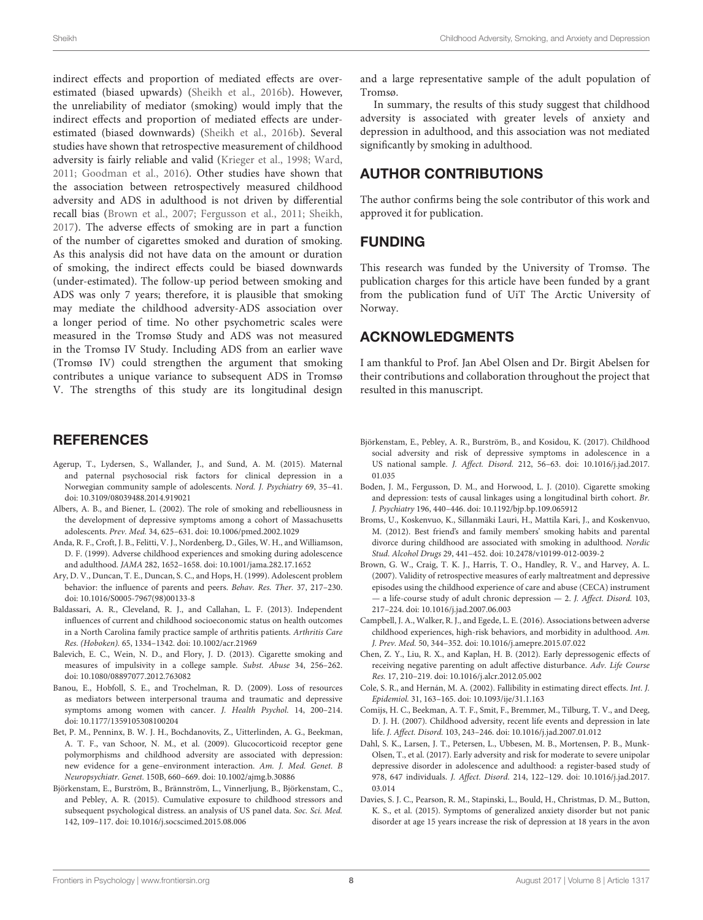indirect effects and proportion of mediated effects are overestimated (biased upwards) [\(Sheikh et al., 2016b\)](#page-10-14). However, the unreliability of mediator (smoking) would imply that the indirect effects and proportion of mediated effects are underestimated (biased downwards) [\(Sheikh et al., 2016b\)](#page-10-14). Several studies have shown that retrospective measurement of childhood adversity is fairly reliable and valid [\(Krieger et al., 1998;](#page-8-38) [Ward,](#page-11-4) [2011;](#page-11-4) [Goodman et al., 2016\)](#page-8-39). Other studies have shown that the association between retrospectively measured childhood adversity and ADS in adulthood is not driven by differential recall bias [\(Brown et al., 2007;](#page-7-18) [Fergusson et al., 2011;](#page-8-40) [Sheikh,](#page-10-2) [2017\)](#page-10-2). The adverse effects of smoking are in part a function of the number of cigarettes smoked and duration of smoking. As this analysis did not have data on the amount or duration of smoking, the indirect effects could be biased downwards (under-estimated). The follow-up period between smoking and ADS was only 7 years; therefore, it is plausible that smoking may mediate the childhood adversity-ADS association over a longer period of time. No other psychometric scales were measured in the Tromsø Study and ADS was not measured in the Tromsø IV Study. Including ADS from an earlier wave (Tromsø IV) could strengthen the argument that smoking contributes a unique variance to subsequent ADS in Tromsø V. The strengths of this study are its longitudinal design

## **REFERENCES**

- <span id="page-7-6"></span>Agerup, T., Lydersen, S., Wallander, J., and Sund, A. M. (2015). Maternal and paternal psychosocial risk factors for clinical depression in a Norwegian community sample of adolescents. Nord. J. Psychiatry 69, 35–41. doi: [10.3109/08039488.2014.919021](https://doi.org/10.3109/08039488.2014.919021)
- <span id="page-7-11"></span>Albers, A. B., and Biener, L. (2002). The role of smoking and rebelliousness in the development of depressive symptoms among a cohort of Massachusetts adolescents. Prev. Med. 34, 625–631. doi: [10.1006/pmed.2002.1029](https://doi.org/10.1006/pmed.2002.1029)
- <span id="page-7-0"></span>Anda, R. F., Croft, J. B., Felitti, V. J., Nordenberg, D., Giles, W. H., and Williamson, D. F. (1999). Adverse childhood experiences and smoking during adolescence and adulthood. JAMA 282, 1652–1658. doi: [10.1001/jama.282.17.1652](https://doi.org/10.1001/jama.282.17.1652)
- <span id="page-7-3"></span>Ary, D. V., Duncan, T. E., Duncan, S. C., and Hops, H. (1999). Adolescent problem behavior: the influence of parents and peers. Behav. Res. Ther. 37, 217–230. doi: [10.1016/S0005-7967\(98\)00133-8](https://doi.org/10.1016/S0005-7967(98)00133-8)
- <span id="page-7-9"></span>Baldassari, A. R., Cleveland, R. J., and Callahan, L. F. (2013). Independent influences of current and childhood socioeconomic status on health outcomes in a North Carolina family practice sample of arthritis patients. Arthritis Care Res. (Hoboken). 65, 1334–1342. doi: [10.1002/acr.21969](https://doi.org/10.1002/acr.21969)
- <span id="page-7-1"></span>Balevich, E. C., Wein, N. D., and Flory, J. D. (2013). Cigarette smoking and measures of impulsivity in a college sample. Subst. Abuse 34, 256–262. doi: [10.1080/08897077.2012.763082](https://doi.org/10.1080/08897077.2012.763082)
- <span id="page-7-8"></span>Banou, E., Hobfoll, S. E., and Trochelman, R. D. (2009). Loss of resources as mediators between interpersonal trauma and traumatic and depressive symptoms among women with cancer. J. Health Psychol. 14, 200–214. doi: [10.1177/1359105308100204](https://doi.org/10.1177/1359105308100204)
- <span id="page-7-5"></span>Bet, P. M., Penninx, B. W. J. H., Bochdanovits, Z., Uitterlinden, A. G., Beekman, A. T. F., van Schoor, N. M., et al. (2009). Glucocorticoid receptor gene polymorphisms and childhood adversity are associated with depression: new evidence for a gene–environment interaction. Am. J. Med. Genet. B Neuropsychiatr. Genet. 150B, 660–669. doi: [10.1002/ajmg.b.30886](https://doi.org/10.1002/ajmg.b.30886)
- <span id="page-7-16"></span>Björkenstam, E., Burström, B., Brännström, L., Vinnerljung, B., Björkenstam, C., and Pebley, A. R. (2015). Cumulative exposure to childhood stressors and subsequent psychological distress. an analysis of US panel data. Soc. Sci. Med. 142, 109–117. doi: [10.1016/j.socscimed.2015.08.006](https://doi.org/10.1016/j.socscimed.2015.08.006)

and a large representative sample of the adult population of Tromsø.

In summary, the results of this study suggest that childhood adversity is associated with greater levels of anxiety and depression in adulthood, and this association was not mediated significantly by smoking in adulthood.

## AUTHOR CONTRIBUTIONS

The author confirms being the sole contributor of this work and approved it for publication.

## FUNDING

This research was funded by the University of Tromsø. The publication charges for this article have been funded by a grant from the publication fund of UiT The Arctic University of Norway.

## ACKNOWLEDGMENTS

I am thankful to Prof. Jan Abel Olsen and Dr. Birgit Abelsen for their contributions and collaboration throughout the project that resulted in this manuscript.

- <span id="page-7-14"></span>Björkenstam, E., Pebley, A. R., Burström, B., and Kosidou, K. (2017). Childhood social adversity and risk of depressive symptoms in adolescence in a US national sample. J. Affect. Disord. [212, 56–63. doi: 10.1016/j.jad.2017.](https://doi.org/10.1016/j.jad.2017.01.035) 01.035
- <span id="page-7-10"></span>Boden, J. M., Fergusson, D. M., and Horwood, L. J. (2010). Cigarette smoking and depression: tests of causal linkages using a longitudinal birth cohort. Br. J. Psychiatry 196, 440–446. doi: [10.1192/bjp.bp.109.065912](https://doi.org/10.1192/bjp.bp.109.065912)
- <span id="page-7-13"></span>Broms, U., Koskenvuo, K., Sillanmäki Lauri, H., Mattila Kari, J., and Koskenvuo, M. (2012). Best friend's and family members' smoking habits and parental divorce during childhood are associated with smoking in adulthood. Nordic Stud. Alcohol Drugs 29, 441–452. doi: [10.2478/v10199-012-0039-2](https://doi.org/10.2478/v10199-012-0039-2)
- <span id="page-7-18"></span>Brown, G. W., Craig, T. K. J., Harris, T. O., Handley, R. V., and Harvey, A. L. (2007). Validity of retrospective measures of early maltreatment and depressive episodes using the childhood experience of care and abuse (CECA) instrument — a life-course study of adult chronic depression — 2. J. Affect. Disord. 103, 217–224. doi: [10.1016/j.jad.2007.06.003](https://doi.org/10.1016/j.jad.2007.06.003)
- <span id="page-7-4"></span>Campbell, J. A., Walker, R. J., and Egede, L. E. (2016). Associations between adverse childhood experiences, high-risk behaviors, and morbidity in adulthood. Am. J. Prev. Med. 50, 344–352. doi: [10.1016/j.amepre.2015.07.022](https://doi.org/10.1016/j.amepre.2015.07.022)
- <span id="page-7-15"></span>Chen, Z. Y., Liu, R. X., and Kaplan, H. B. (2012). Early depressogenic effects of receiving negative parenting on adult affective disturbance. Adv. Life Course Res. 17, 210–219. doi: [10.1016/j.alcr.2012.05.002](https://doi.org/10.1016/j.alcr.2012.05.002)
- <span id="page-7-2"></span>Cole, S. R., and Hernán, M. A. (2002). Fallibility in estimating direct effects. Int. J. Epidemiol. 31, 163–165. doi: [10.1093/ije/31.1.163](https://doi.org/10.1093/ije/31.1.163)
- <span id="page-7-7"></span>Comijs, H. C., Beekman, A. T. F., Smit, F., Bremmer, M., Tilburg, T. V., and Deeg, D. J. H. (2007). Childhood adversity, recent life events and depression in late life. J. Affect. Disord. 103, 243–246. doi: [10.1016/j.jad.2007.01.012](https://doi.org/10.1016/j.jad.2007.01.012)
- <span id="page-7-12"></span>Dahl, S. K., Larsen, J. T., Petersen, L., Ubbesen, M. B., Mortensen, P. B., Munk-Olsen, T., et al. (2017). Early adversity and risk for moderate to severe unipolar depressive disorder in adolescence and adulthood: a register-based study of 978, 647 individuals. J. Affect. Disord. [214, 122–129. doi: 10.1016/j.jad.2017.](https://doi.org/10.1016/j.jad.2017.03.014) 03.014
- <span id="page-7-17"></span>Davies, S. J. C., Pearson, R. M., Stapinski, L., Bould, H., Christmas, D. M., Button, K. S., et al. (2015). Symptoms of generalized anxiety disorder but not panic disorder at age 15 years increase the risk of depression at 18 years in the avon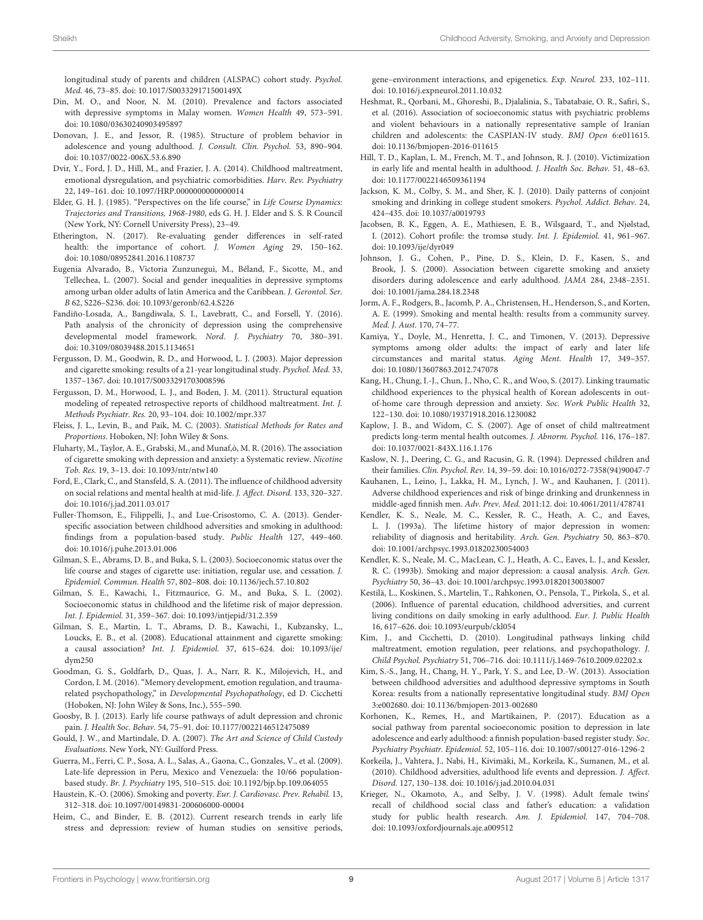longitudinal study of parents and children (ALSPAC) cohort study. Psychol. Med. 46, 73–85. doi: [10.1017/S003329171500149X](https://doi.org/10.1017/S003329171500149X)

- <span id="page-8-37"></span>Din, M. O., and Noor, N. M. (2010). Prevalence and factors associated with depressive symptoms in Malay women. Women Health 49, 573–591. doi: [10.1080/03630240903495897](https://doi.org/10.1080/03630240903495897)
- <span id="page-8-10"></span>Donovan, J. E., and Jessor, R. (1985). Structure of problem behavior in adolescence and young adulthood. J. Consult. Clin. Psychol. 53, 890–904. doi: [10.1037/0022-006X.53.6.890](https://doi.org/10.1037/0022-006X.53.6.890)
- <span id="page-8-6"></span>Dvir, Y., Ford, J. D., Hill, M., and Frazier, J. A. (2014). Childhood maltreatment, emotional dysregulation, and psychiatric comorbidities. Harv. Rev. Psychiatry 22, 149–161. doi: [10.1097/HRP.0000000000000014](https://doi.org/10.1097/HRP.0000000000000014)
- <span id="page-8-7"></span>Elder, G. H. J. (1985). "Perspectives on the life course," in Life Course Dynamics: Trajectories and Transitions, 1968-1980, eds G. H. J. Elder and S. S. R Council (New York, NY: Cornell University Press), 23–49.
- <span id="page-8-32"></span>Etherington, N. (2017). Re-evaluating gender differences in self-rated health: the importance of cohort. J. Women Aging 29, 150–162. doi: [10.1080/08952841.2016.1108737](https://doi.org/10.1080/08952841.2016.1108737)
- <span id="page-8-21"></span>Eugenia Alvarado, B., Victoria Zunzunegui, M., Béland, F., Sicotte, M., and Tellechea, L. (2007). Social and gender inequalities in depressive symptoms among urban older adults of latin America and the Caribbean. J. Gerontol. Ser. B 62, S226–S236. doi: [10.1093/geronb/62.4.S226](https://doi.org/10.1093/geronb/62.4.S226)
- <span id="page-8-20"></span>Fandiño-Losada, A., Bangdiwala, S. I., Lavebratt, C., and Forsell, Y. (2016). Path analysis of the chronicity of depression using the comprehensive developmental model framework. Nord. J. Psychiatry 70, 380–391. doi: [10.3109/08039488.2015.1134651](https://doi.org/10.3109/08039488.2015.1134651)
- <span id="page-8-30"></span>Fergusson, D. M., Goodwin, R. D., and Horwood, L. J. (2003). Major depression and cigarette smoking: results of a 21-year longitudinal study. Psychol. Med. 33, 1357–1367. doi: [10.1017/S0033291703008596](https://doi.org/10.1017/S0033291703008596)
- <span id="page-8-40"></span>Fergusson, D. M., Horwood, L. J., and Boden, J. M. (2011). Structural equation modeling of repeated retrospective reports of childhood maltreatment. Int. J. Methods Psychiatr. Res. 20, 93–104. doi: [10.1002/mpr.337](https://doi.org/10.1002/mpr.337)
- <span id="page-8-25"></span>Fleiss, J. L., Levin, B., and Paik, M. C. (2003). Statistical Methods for Rates and Proportions. Hoboken, NJ: John Wiley & Sons.
- <span id="page-8-2"></span>Fluharty, M., Taylor, A. E., Grabski, M., and Munaf,ò, M. R. (2016). The association of cigarette smoking with depression and anxiety: a Systematic review. Nicotine Tob. Res. 19, 3–13. doi: [10.1093/ntr/ntw140](https://doi.org/10.1093/ntr/ntw140)
- <span id="page-8-24"></span>Ford, E., Clark, C., and Stansfeld, S. A. (2011). The influence of childhood adversity on social relations and mental health at mid-life. J. Affect. Disord. 133, 320–327. doi: [10.1016/j.jad.2011.03.017](https://doi.org/10.1016/j.jad.2011.03.017)
- <span id="page-8-3"></span>Fuller-Thomson, E., Filippelli, J., and Lue-Crisostomo, C. A. (2013). Genderspecific association between childhood adversities and smoking in adulthood: findings from a population-based study. Public Health 127, 449–460. doi: [10.1016/j.puhe.2013.01.006](https://doi.org/10.1016/j.puhe.2013.01.006)
- <span id="page-8-0"></span>Gilman, S. E., Abrams, D. B., and Buka, S. L. (2003). Socioeconomic status over the life course and stages of cigarette use: initiation, regular use, and cessation. J. Epidemiol. Commun. Health 57, 802–808. doi: [10.1136/jech.57.10.802](https://doi.org/10.1136/jech.57.10.802)
- <span id="page-8-31"></span>Gilman, S. E., Kawachi, I., Fitzmaurice, G. M., and Buka, S. L. (2002). Socioeconomic status in childhood and the lifetime risk of major depression. Int. J. Epidemiol. 31, 359–367. doi: [10.1093/intjepid/31.2.359](https://doi.org/10.1093/intjepid/31.2.359)
- <span id="page-8-12"></span>Gilman, S. E., Martin, L. T., Abrams, D. B., Kawachi, I., Kubzansky, L., Loucks, E. B., et al. (2008). Educational attainment and cigarette smoking: a causal association? Int. J. Epidemiol. [37, 615–624. doi: 10.1093/ije/](https://doi.org/10.1093/ije/dym250) dym250
- <span id="page-8-39"></span>Goodman, G. S., Goldfarb, D., Quas, J. A., Narr, R. K., Milojevich, H., and Cordon, I. M. (2016). "Memory development, emotion regulation, and traumarelated psychopathology," in Developmental Psychopathology, ed D. Cicchetti (Hoboken, NJ: John Wiley & Sons, Inc.), 555–590.
- <span id="page-8-33"></span>Goosby, B. J. (2013). Early life course pathways of adult depression and chronic pain. J. Health Soc. Behav. 54, 75–91. doi: [10.1177/0022146512475089](https://doi.org/10.1177/0022146512475089)
- <span id="page-8-4"></span>Gould, J. W., and Martindale, D. A. (2007). The Art and Science of Child Custody Evaluations. New York, NY: Guilford Press.
- <span id="page-8-36"></span>Guerra, M., Ferri, C. P., Sosa, A. L., Salas, A., Gaona, C., Gonzales, V., et al. (2009). Late-life depression in Peru, Mexico and Venezuela: the 10/66 populationbased study. Br. J. Psychiatry 195, 510–515. doi: [10.1192/bjp.bp.109.064055](https://doi.org/10.1192/bjp.bp.109.064055)
- <span id="page-8-11"></span>Haustein, K.-O. (2006). Smoking and poverty. Eur. J. Cardiovasc. Prev. Rehabil. 13, 312–318. doi: [10.1097/00149831-200606000-00004](https://doi.org/10.1097/00149831-200606000-00004)
- <span id="page-8-9"></span>Heim, C., and Binder, E. B. (2012). Current research trends in early life stress and depression: review of human studies on sensitive periods,

gene–environment interactions, and epigenetics. Exp. Neurol. 233, 102–111. doi: [10.1016/j.expneurol.2011.10.032](https://doi.org/10.1016/j.expneurol.2011.10.032)

- <span id="page-8-34"></span>Heshmat, R., Qorbani, M., Ghoreshi, B., Djalalinia, S., Tabatabaie, O. R., Safiri, S., et al. (2016). Association of socioeconomic status with psychiatric problems and violent behaviours in a nationally representative sample of Iranian children and adolescents: the CASPIAN-IV study. BMJ Open 6:e011615. doi: [10.1136/bmjopen-2016-011615](https://doi.org/10.1136/bmjopen-2016-011615)
- <span id="page-8-22"></span>Hill, T. D., Kaplan, L. M., French, M. T., and Johnson, R. J. (2010). Victimization in early life and mental health in adulthood. J. Health Soc. Behav. 51, 48–63. doi: [10.1177/0022146509361194](https://doi.org/10.1177/0022146509361194)
- <span id="page-8-13"></span>Jackson, K. M., Colby, S. M., and Sher, K. J. (2010). Daily patterns of conjoint smoking and drinking in college student smokers. Psychol. Addict. Behav. 24, 424–435. doi: [10.1037/a0019793](https://doi.org/10.1037/a0019793)
- <span id="page-8-17"></span>Jacobsen, B. K., Eggen, A. E., Mathiesen, E. B., Wilsgaard, T., and Njølstad, I. (2012). Cohort profile: the tromsø study. Int. J. Epidemiol. 41, 961–967. doi: [10.1093/ije/dyr049](https://doi.org/10.1093/ije/dyr049)
- <span id="page-8-28"></span>Johnson, J. G., Cohen, P., Pine, D. S., Klein, D. F., Kasen, S., and Brook, J. S. (2000). Association between cigarette smoking and anxiety disorders during adolescence and early adulthood. JAMA 284, 2348–2351. doi: [10.1001/jama.284.18.2348](https://doi.org/10.1001/jama.284.18.2348)
- <span id="page-8-27"></span>Jorm, A. F., Rodgers, B., Jacomb, P. A., Christensen, H., Henderson, S., and Korten, A. E. (1999). Smoking and mental health: results from a community survey. Med. J. Aust. 170, 74–77.
- <span id="page-8-26"></span>Kamiya, Y., Doyle, M., Henretta, J. C., and Timonen, V. (2013). Depressive symptoms among older adults: the impact of early and later life circumstances and marital status. Aging Ment. Health 17, 349–357. doi: [10.1080/13607863.2012.747078](https://doi.org/10.1080/13607863.2012.747078)
- <span id="page-8-35"></span>Kang, H., Chung, I.-J., Chun, J., Nho, C. R., and Woo, S. (2017). Linking traumatic childhood experiences to the physical health of Korean adolescents in outof-home care through depression and anxiety. Soc. Work Public Health 32, 122–130. doi: [10.1080/19371918.2016.1230082](https://doi.org/10.1080/19371918.2016.1230082)
- <span id="page-8-19"></span>Kaplow, J. B., and Widom, C. S. (2007). Age of onset of child maltreatment predicts long-term mental health outcomes. J. Abnorm. Psychol. 116, 176–187. doi: [10.1037/0021-843X.116.1.176](https://doi.org/10.1037/0021-843X.116.1.176)
- <span id="page-8-18"></span>Kaslow, N. J., Deering, C. G., and Racusin, G. R. (1994). Depressed children and their families. Clin. Psychol. Rev. 14, 39–59. doi: [10.1016/0272-7358\(94\)90047-7](https://doi.org/10.1016/0272-7358(94)90047-7)
- <span id="page-8-14"></span>Kauhanen, L., Leino, J., Lakka, H. M., Lynch, J. W., and Kauhanen, J. (2011). Adverse childhood experiences and risk of binge drinking and drunkenness in middle-aged finnish men. Adv. Prev. Med. 2011:12. doi: [10.4061/2011/478741](https://doi.org/10.4061/2011/478741)
- <span id="page-8-8"></span>Kendler, K. S., Neale, M. C., Kessler, R. C., Heath, A. C., and Eaves, L. J. (1993a). The lifetime history of major depression in women: reliability of diagnosis and heritability. Arch. Gen. Psychiatry 50, 863–870. doi: [10.1001/archpsyc.1993.01820230054003](https://doi.org/10.1001/archpsyc.1993.01820230054003)
- <span id="page-8-29"></span>Kendler, K. S., Neale, M. C., MacLean, C. J., Heath, A. C., Eaves, L. J., and Kessler, R. C. (1993b). Smoking and major depression: a causal analysis. Arch. Gen. Psychiatry 50, 36–43. doi: [10.1001/archpsyc.1993.01820130038007](https://doi.org/10.1001/archpsyc.1993.01820130038007)
- <span id="page-8-1"></span>Kestilä, L., Koskinen, S., Martelin, T., Rahkonen, O., Pensola, T., Pirkola, S., et al. (2006). Influence of parental education, childhood adversities, and current living conditions on daily smoking in early adulthood. Eur. J. Public Health 16, 617–626. doi: [10.1093/eurpub/ckl054](https://doi.org/10.1093/eurpub/ckl054)
- <span id="page-8-5"></span>Kim, J., and Cicchetti, D. (2010). Longitudinal pathways linking child maltreatment, emotion regulation, peer relations, and psychopathology. J. Child Psychol. Psychiatry 51, 706–716. doi: [10.1111/j.1469-7610.2009.02202.x](https://doi.org/10.1111/j.1469-7610.2009.02202.x)
- <span id="page-8-15"></span>Kim, S.-S., Jang, H., Chang, H. Y., Park, Y. S., and Lee, D.-W. (2013). Association between childhood adversities and adulthood depressive symptoms in South Korea: results from a nationally representative longitudinal study. BMJ Open 3:e002680. doi: [10.1136/bmjopen-2013-002680](https://doi.org/10.1136/bmjopen-2013-002680)
- <span id="page-8-16"></span>Korhonen, K., Remes, H., and Martikainen, P. (2017). Education as a social pathway from parental socioeconomic position to depression in late adolescence and early adulthood: a finnish population-based register study. Soc. Psychiatry Psychiatr. Epidemiol. 52, 105–116. doi: [10.1007/s00127-016-1296-2](https://doi.org/10.1007/s00127-016-1296-2)
- <span id="page-8-23"></span>Korkeila, J., Vahtera, J., Nabi, H., Kivimäki, M., Korkeila, K., Sumanen, M., et al. (2010). Childhood adversities, adulthood life events and depression. J. Affect. Disord. 127, 130–138. doi: [10.1016/j.jad.2010.04.031](https://doi.org/10.1016/j.jad.2010.04.031)
- <span id="page-8-38"></span>Krieger, N., Okamoto, A., and Selby, J. V. (1998). Adult female twins' recall of childhood social class and father's education: a validation study for public health research. Am. J. Epidemiol. 147, 704–708. doi: [10.1093/oxfordjournals.aje.a009512](https://doi.org/10.1093/oxfordjournals.aje.a009512)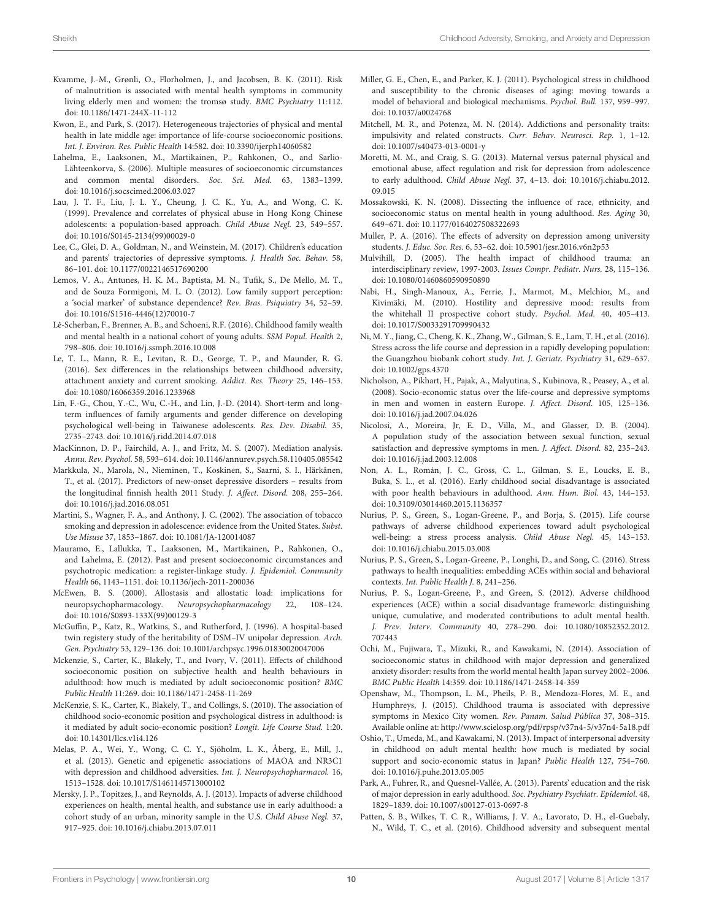- <span id="page-9-20"></span>Kvamme, J.-M., Grønli, O., Florholmen, J., and Jacobsen, B. K. (2011). Risk of malnutrition is associated with mental health symptoms in community living elderly men and women: the tromsø study. BMC Psychiatry 11:112. doi: [10.1186/1471-244X-11-112](https://doi.org/10.1186/1471-244X-11-112)
- <span id="page-9-17"></span>Kwon, E., and Park, S. (2017). Heterogeneous trajectories of physical and mental health in late middle age: importance of life-course socioeconomic positions. Int. J. Environ. Res. Public Health 14:582. doi: [10.3390/ijerph14060582](https://doi.org/10.3390/ijerph14060582)
- <span id="page-9-22"></span>Lahelma, E., Laaksonen, M., Martikainen, P., Rahkonen, O., and Sarlio-Lähteenkorva, S. (2006). Multiple measures of socioeconomic circumstances and common mental disorders. Soc. Sci. Med. 63, 1383–1399. doi: [10.1016/j.socscimed.2006.03.027](https://doi.org/10.1016/j.socscimed.2006.03.027)
- <span id="page-9-5"></span>Lau, J. T. F., Liu, J. L. Y., Cheung, J. C. K., Yu, A., and Wong, C. K. (1999). Prevalence and correlates of physical abuse in Hong Kong Chinese adolescents: a population-based approach. Child Abuse Negl. 23, 549–557. doi: [10.1016/S0145-2134\(99\)00029-0](https://doi.org/10.1016/S0145-2134(99)00029-0)
- <span id="page-9-18"></span>Lee, C., Glei, D. A., Goldman, N., and Weinstein, M. (2017). Children's education and parents' trajectories of depressive symptoms. J. Health Soc. Behav. 58, 86–101. doi: [10.1177/0022146517690200](https://doi.org/10.1177/0022146517690200)
- <span id="page-9-9"></span>Lemos, V. A., Antunes, H. K. M., Baptista, M. N., Tufik, S., De Mello, M. T., and de Souza Formigoni, M. L. O. (2012). Low family support perception: a 'social marker' of substance dependence? Rev. Bras. Psiquiatry 34, 52–59. doi: [10.1016/S1516-4446\(12\)70010-7](https://doi.org/10.1016/S1516-4446(12)70010-7)
- <span id="page-9-14"></span>Lê-Scherban, F., Brenner, A. B., and Schoeni, R.F. (2016). Childhood family wealth and mental health in a national cohort of young adults. SSM Popul. Health 2, 798–806. doi: [10.1016/j.ssmph.2016.10.008](https://doi.org/10.1016/j.ssmph.2016.10.008)
- <span id="page-9-1"></span>Le, T. L., Mann, R. E., Levitan, R. D., George, T. P., and Maunder, R. G. (2016). Sex differences in the relationships between childhood adversity, attachment anxiety and current smoking. Addict. Res. Theory 25, 146–153. doi: [10.1080/16066359.2016.1233968](https://doi.org/10.1080/16066359.2016.1233968)
- <span id="page-9-37"></span>Lin, F.-G., Chou, Y.-C., Wu, C.-H., and Lin, J.-D. (2014). Short-term and longterm influences of family arguments and gender difference on developing psychological well-being in Taiwanese adolescents. Res. Dev. Disabil. 35, 2735–2743. doi: [10.1016/j.ridd.2014.07.018](https://doi.org/10.1016/j.ridd.2014.07.018)
- <span id="page-9-27"></span>MacKinnon, D. P., Fairchild, A. J., and Fritz, M. S. (2007). Mediation analysis. Annu. Rev. Psychol. 58, 593–614. doi: [10.1146/annurev.psych.58.110405.085542](https://doi.org/10.1146/annurev.psych.58.110405.085542)
- <span id="page-9-19"></span>Markkula, N., Marola, N., Nieminen, T., Koskinen, S., Saarni, S. I., Härkänen, T., et al. (2017). Predictors of new-onset depressive disorders – results from the longitudinal finnish health 2011 Study. J. Affect. Disord. 208, 255–264. doi: [10.1016/j.jad.2016.08.051](https://doi.org/10.1016/j.jad.2016.08.051)
- <span id="page-9-33"></span>Martini, S., Wagner, F. A., and Anthony, J. C. (2002). The association of tobacco smoking and depression in adolescence: evidence from the United States. Subst. Use Misuse 37, 1853–1867. doi: [10.1081/JA-120014087](https://doi.org/10.1081/JA-120014087)
- <span id="page-9-29"></span>Mauramo, E., Lallukka, T., Laaksonen, M., Martikainen, P., Rahkonen, O., and Lahelma, E. (2012). Past and present socioeconomic circumstances and psychotropic medication: a register-linkage study. J. Epidemiol. Community Health 66, 1143–1151. doi: [10.1136/jech-2011-200036](https://doi.org/10.1136/jech-2011-200036)
- <span id="page-9-2"></span>McEwen, B. S. (2000). Allostasis and allostatic load: implications for neuropsychopharmacology. Neuropsychopharmacology 22, 108–124. doi: [10.1016/S0893-133X\(99\)00129-3](https://doi.org/10.1016/S0893-133X(99)00129-3)
- <span id="page-9-8"></span>McGuffin, P., Katz, R., Watkins, S., and Rutherford, J. (1996). A hospital-based twin registery study of the heritability of DSM–IV unipolar depression. Arch. Gen. Psychiatry 53, 129–136. doi: [10.1001/archpsyc.1996.01830020047006](https://doi.org/10.1001/archpsyc.1996.01830020047006)
- <span id="page-9-26"></span>Mckenzie, S., Carter, K., Blakely, T., and Ivory, V. (2011). Effects of childhood socioeconomic position on subjective health and health behaviours in adulthood: how much is mediated by adult socioeconomic position? BMC Public Health 11:269. doi: [10.1186/1471-2458-11-269](https://doi.org/10.1186/1471-2458-11-269)
- <span id="page-9-25"></span>McKenzie, S. K., Carter, K., Blakely, T., and Collings, S. (2010). The association of childhood socio-economic position and psychological distress in adulthood: is it mediated by adult socio-economic position? Longit. Life Course Stud. 1:20. doi: [10.14301/llcs.v1i4.126](https://doi.org/10.14301/llcs.v1i4.126)
- <span id="page-9-21"></span>Melas, P. A., Wei, Y., Wong, C. C. Y., Sjöholm, L. K., Åberg, E., Mill, J., et al. (2013). Genetic and epigenetic associations of MAOA and NR3C1 with depression and childhood adversities. Int. J. Neuropsychopharmacol. 16, 1513–1528. doi: [10.1017/S1461145713000102](https://doi.org/10.1017/S1461145713000102)
- <span id="page-9-10"></span>Mersky, J. P., Topitzes, J., and Reynolds, A. J. (2013). Impacts of adverse childhood experiences on health, mental health, and substance use in early adulthood: a cohort study of an urban, minority sample in the U.S. Child Abuse Negl. 37, 917–925. doi: [10.1016/j.chiabu.2013.07.011](https://doi.org/10.1016/j.chiabu.2013.07.011)
- <span id="page-9-4"></span>Miller, G. E., Chen, E., and Parker, K. J. (2011). Psychological stress in childhood and susceptibility to the chronic diseases of aging: moving towards a model of behavioral and biological mechanisms. Psychol. Bull. 137, 959–997. doi: [10.1037/a0024768](https://doi.org/10.1037/a0024768)
- <span id="page-9-6"></span>Mitchell, M. R., and Potenza, M. N. (2014). Addictions and personality traits: impulsivity and related constructs. Curr. Behav. Neurosci. Rep. 1, 1–12. doi: [10.1007/s40473-013-0001-y](https://doi.org/10.1007/s40473-013-0001-y)
- <span id="page-9-7"></span>Moretti, M. M., and Craig, S. G. (2013). Maternal versus paternal physical and emotional abuse, affect regulation and risk for depression from adolescence to early adulthood. Child Abuse Negl. [37, 4–13. doi: 10.1016/j.chiabu.2012.](https://doi.org/10.1016/j.chiabu.2012.09.015) 09.015
- <span id="page-9-23"></span>Mossakowski, K. N. (2008). Dissecting the influence of race, ethnicity, and socioeconomic status on mental health in young adulthood. Res. Aging 30, 649–671. doi: [10.1177/0164027508322693](https://doi.org/10.1177/0164027508322693)
- <span id="page-9-15"></span>Muller, P. A. (2016). The effects of adversity on depression among university students. J. Educ. Soc. Res. 6, 53–62. doi: [10.5901/jesr.2016.v6n2p53](https://doi.org/10.5901/jesr.2016.v6n2p53)
- <span id="page-9-3"></span>Mulvihill, D. (2005). The health impact of childhood trauma: an interdisciplinary review, 1997-2003. Issues Compr. Pediatr. Nurs. 28, 115–136. doi: [10.1080/01460860590950890](https://doi.org/10.1080/01460860590950890)
- <span id="page-9-35"></span>Nabi, H., Singh-Manoux, A., Ferrie, J., Marmot, M., Melchior, M., and Kivimäki, M. (2010). Hostility and depressive mood: results from the whitehall II prospective cohort study. Psychol. Med. 40, 405–413. doi: [10.1017/S0033291709990432](https://doi.org/10.1017/S0033291709990432)
- <span id="page-9-16"></span>Ni, M. Y., Jiang, C., Cheng, K. K., Zhang, W., Gilman, S. E., Lam, T. H., et al. (2016). Stress across the life course and depression in a rapidly developing population: the Guangzhou biobank cohort study. Int. J. Geriatr. Psychiatry 31, 629–637. doi: [10.1002/gps.4370](https://doi.org/10.1002/gps.4370)
- <span id="page-9-24"></span>Nicholson, A., Pikhart, H., Pajak, A., Malyutina, S., Kubinova, R., Peasey, A., et al. (2008). Socio-economic status over the life-course and depressive symptoms in men and women in eastern Europe. J. Affect. Disord. 105, 125–136. doi: [10.1016/j.jad.2007.04.026](https://doi.org/10.1016/j.jad.2007.04.026)
- <span id="page-9-34"></span>Nicolosi, A., Moreira, Jr, E. D., Villa, M., and Glasser, D. B. (2004). A population study of the association between sexual function, sexual satisfaction and depressive symptoms in men. J. Affect. Disord. 82, 235–243. doi: [10.1016/j.jad.2003.12.008](https://doi.org/10.1016/j.jad.2003.12.008)
- <span id="page-9-28"></span>Non, A. L., Román, J. C., Gross, C. L., Gilman, S. E., Loucks, E. B., Buka, S. L., et al. (2016). Early childhood social disadvantage is associated with poor health behaviours in adulthood. Ann. Hum. Biol. 43, 144–153. doi: [10.3109/03014460.2015.1136357](https://doi.org/10.3109/03014460.2015.1136357)
- <span id="page-9-12"></span>Nurius, P. S., Green, S., Logan-Greene, P., and Borja, S. (2015). Life course pathways of adverse childhood experiences toward adult psychological well-being: a stress process analysis. Child Abuse Negl. 45, 143–153. doi: [10.1016/j.chiabu.2015.03.008](https://doi.org/10.1016/j.chiabu.2015.03.008)
- <span id="page-9-11"></span>Nurius, P. S., Green, S., Logan-Greene, P., Longhi, D., and Song, C. (2016). Stress pathways to health inequalities: embedding ACEs within social and behavioral contexts. Int. Public Health J. 8, 241–256.
- <span id="page-9-30"></span>Nurius, P. S., Logan-Greene, P., and Green, S. (2012). Adverse childhood experiences (ACE) within a social disadvantage framework: distinguishing unique, cumulative, and moderated contributions to adult mental health. J. Prev. Interv. Community [40, 278–290. doi: 10.1080/10852352.2012.](https://doi.org/10.1080/10852352.2012.707443) 707443
- <span id="page-9-32"></span>Ochi, M., Fujiwara, T., Mizuki, R., and Kawakami, N. (2014). Association of socioeconomic status in childhood with major depression and generalized anxiety disorder: results from the world mental health Japan survey 2002–2006. BMC Public Health 14:359. doi: [10.1186/1471-2458-14-359](https://doi.org/10.1186/1471-2458-14-359)
- <span id="page-9-13"></span>Openshaw, M., Thompson, L. M., Pheils, P. B., Mendoza-Flores, M. E., and Humphreys, J. (2015). Childhood trauma is associated with depressive symptoms in Mexico City women. Rev. Panam. Salud Pública 37, 308–315. Available online at:<http://www.scielosp.org/pdf/rpsp/v37n4-5/v37n4-5a18.pdf>
- <span id="page-9-31"></span>Oshio, T., Umeda, M., and Kawakami, N. (2013). Impact of interpersonal adversity in childhood on adult mental health: how much is mediated by social support and socio-economic status in Japan? Public Health 127, 754–760. doi: [10.1016/j.puhe.2013.05.005](https://doi.org/10.1016/j.puhe.2013.05.005)
- <span id="page-9-36"></span>Park, A., Fuhrer, R., and Quesnel-Vallée, A. (2013). Parents' education and the risk of major depression in early adulthood. Soc. Psychiatry Psychiatr. Epidemiol. 48, 1829–1839. doi: [10.1007/s00127-013-0697-8](https://doi.org/10.1007/s00127-013-0697-8)
- <span id="page-9-0"></span>Patten, S. B., Wilkes, T. C. R., Williams, J. V. A., Lavorato, D. H., el-Guebaly, N., Wild, T. C., et al. (2016). Childhood adversity and subsequent mental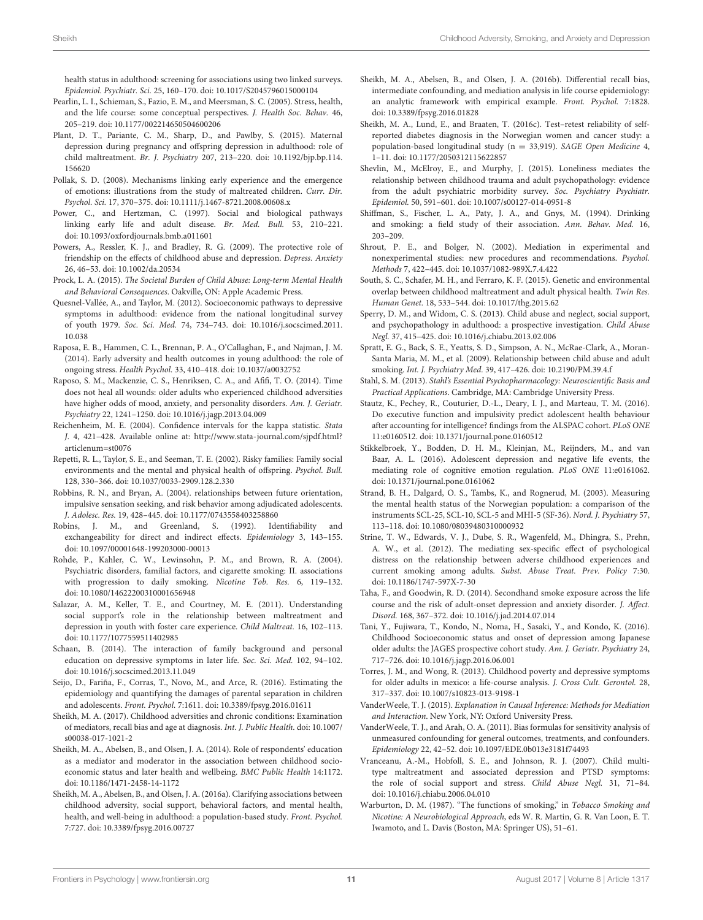health status in adulthood: screening for associations using two linked surveys. Epidemiol. Psychiatr. Sci. 25, 160–170. doi: [10.1017/S2045796015000104](https://doi.org/10.1017/S2045796015000104)

- <span id="page-10-12"></span>Pearlin, L. I., Schieman, S., Fazio, E. M., and Meersman, S. C. (2005). Stress, health, and the life course: some conceptual perspectives. J. Health Soc. Behav. 46, 205–219. doi: [10.1177/002214650504600206](https://doi.org/10.1177/002214650504600206)
- <span id="page-10-22"></span>Plant, D. T., Pariante, C. M., Sharp, D., and Pawlby, S. (2015). Maternal depression during pregnancy and offspring depression in adulthood: role of child maltreatment. Br. J. Psychiatry [207, 213–220. doi: 10.1192/bjp.bp.114.](https://doi.org/10.1192/bjp.bp.114.156620) 156620
- <span id="page-10-21"></span>Pollak, S. D. (2008). Mechanisms linking early experience and the emergence of emotions: illustrations from the study of maltreated children. Curr. Dir. Psychol. Sci. 17, 370–375. doi: [10.1111/j.1467-8721.2008.00608.x](https://doi.org/10.1111/j.1467-8721.2008.00608.x)
- <span id="page-10-3"></span>Power, C., and Hertzman, C. (1997). Social and biological pathways linking early life and adult disease. Br. Med. Bull. 53, 210–221. doi: [10.1093/oxfordjournals.bmb.a011601](https://doi.org/10.1093/oxfordjournals.bmb.a011601)
- <span id="page-10-25"></span>Powers, A., Ressler, K. J., and Bradley, R. G. (2009). The protective role of friendship on the effects of childhood abuse and depression. Depress. Anxiety 26, 46–53. doi: [10.1002/da.20534](https://doi.org/10.1002/da.20534)
- <span id="page-10-10"></span>Prock, L. A. (2015). The Societal Burden of Child Abuse: Long-term Mental Health and Behavioral Consequences. Oakville, ON: Apple Academic Press.
- <span id="page-10-31"></span>Quesnel-Vallée, A., and Taylor, M. (2012). Socioeconomic pathways to depressive symptoms in adulthood: evidence from the national longitudinal survey of youth 1979. Soc. Sci. Med. [74, 734–743. doi: 10.1016/j.socscimed.2011.](https://doi.org/10.1016/j.socscimed.2011.10.038) 10.038
- <span id="page-10-38"></span>Raposa, E. B., Hammen, C. L., Brennan, P. A., O'Callaghan, F., and Najman, J. M. (2014). Early adversity and health outcomes in young adulthood: the role of ongoing stress. Health Psychol. 33, 410–418. doi: [10.1037/a0032752](https://doi.org/10.1037/a0032752)
- <span id="page-10-36"></span>Raposo, S. M., Mackenzie, C. S., Henriksen, C. A., and Afifi, T. O. (2014). Time does not heal all wounds: older adults who experienced childhood adversities have higher odds of mood, anxiety, and personality disorders. Am. J. Geriatr. Psychiatry 22, 1241–1250. doi: [10.1016/j.jagp.2013.04.009](https://doi.org/10.1016/j.jagp.2013.04.009)
- <span id="page-10-28"></span>Reichenheim, M. E. (2004). Confidence intervals for the kappa statistic. Stata J. 4, 421–428. Available online at: [http://www.stata-journal.com/sjpdf.html?](http://www.stata-journal.com/sjpdf.html?articlenum=st0076) [articlenum=st0076](http://www.stata-journal.com/sjpdf.html?articlenum=st0076)
- <span id="page-10-8"></span>Repetti, R. L., Taylor, S. E., and Seeman, T. E. (2002). Risky families: Family social environments and the mental and physical health of offspring. Psychol. Bull. 128, 330–366. doi: [10.1037/0033-2909.128.2.330](https://doi.org/10.1037/0033-2909.128.2.330)
- <span id="page-10-4"></span>Robbins, R. N., and Bryan, A. (2004). relationships between future orientation, impulsive sensation seeking, and risk behavior among adjudicated adolescents. J. Adolesc. Res. 19, 428–445. doi: [10.1177/0743558403258860](https://doi.org/10.1177/0743558403258860)
- <span id="page-10-13"></span>Robins, J. M., and Greenland, S. (1992). Identifiability and exchangeability for direct and indirect effects. Epidemiology 3, 143–155. doi: [10.1097/00001648-199203000-00013](https://doi.org/10.1097/00001648-199203000-00013)
- <span id="page-10-30"></span>Rohde, P., Kahler, C. W., Lewinsohn, P. M., and Brown, R. A. (2004). Psychiatric disorders, familial factors, and cigarette smoking: II. associations with progression to daily smoking. Nicotine Tob. Res. 6, 119–132. doi: [10.1080/14622200310001656948](https://doi.org/10.1080/14622200310001656948)
- <span id="page-10-26"></span>Salazar, A. M., Keller, T. E., and Courtney, M. E. (2011). Understanding social support's role in the relationship between maltreatment and depression in youth with foster care experience. Child Maltreat. 16, 102–113. doi: [10.1177/1077559511402985](https://doi.org/10.1177/1077559511402985)
- <span id="page-10-35"></span>Schaan, B. (2014). The interaction of family background and personal education on depressive symptoms in later life. Soc. Sci. Med. 102, 94–102. doi: [10.1016/j.socscimed.2013.11.049](https://doi.org/10.1016/j.socscimed.2013.11.049)
- <span id="page-10-39"></span>Seijo, D., Fariña, F., Corras, T., Novo, M., and Arce, R. (2016). Estimating the epidemiology and quantifying the damages of parental separation in children and adolescents. Front. Psychol. 7:1611. doi: [10.3389/fpsyg.2016.01611](https://doi.org/10.3389/fpsyg.2016.01611)
- <span id="page-10-2"></span>Sheikh, M. A. (2017). Childhood adversities and chronic conditions: Examination [of mediators, recall bias and age at diagnosis.](https://doi.org/10.1007/s00038-017-1021-2) Int. J. Public Health. doi: 10.1007/ s00038-017-1021-2
- <span id="page-10-19"></span>Sheikh, M. A., Abelsen, B., and Olsen, J. A. (2014). Role of respondents' education as a mediator and moderator in the association between childhood socioeconomic status and later health and wellbeing. BMC Public Health 14:1172. doi: [10.1186/1471-2458-14-1172](https://doi.org/10.1186/1471-2458-14-1172)
- <span id="page-10-0"></span>Sheikh, M. A., Abelsen, B., and Olsen, J. A. (2016a). Clarifying associations between childhood adversity, social support, behavioral factors, and mental health, health, and well-being in adulthood: a population-based study. Front. Psychol. 7:727. doi: [10.3389/fpsyg.2016.00727](https://doi.org/10.3389/fpsyg.2016.00727)
- <span id="page-10-14"></span>Sheikh, M. A., Abelsen, B., and Olsen, J. A. (2016b). Differential recall bias, intermediate confounding, and mediation analysis in life course epidemiology: an analytic framework with empirical example. Front. Psychol. 7:1828. doi: [10.3389/fpsyg.2016.01828](https://doi.org/10.3389/fpsyg.2016.01828)
- <span id="page-10-27"></span>Sheikh, M. A., Lund, E., and Braaten, T. (2016c). Test–retest reliability of selfreported diabetes diagnosis in the Norwegian women and cancer study: a population-based longitudinal study (n = 33,919). SAGE Open Medicine 4, 1–11. doi: [10.1177/2050312115622857](https://doi.org/10.1177/2050312115622857)
- <span id="page-10-16"></span>Shevlin, M., McElroy, E., and Murphy, J. (2015). Loneliness mediates the relationship between childhood trauma and adult psychopathology: evidence from the adult psychiatric morbidity survey. Soc. Psychiatry Psychiatr. Epidemiol. 50, 591–601. doi: [10.1007/s00127-014-0951-8](https://doi.org/10.1007/s00127-014-0951-8)
- <span id="page-10-15"></span>Shiffman, S., Fischer, L. A., Paty, J. A., and Gnys, M. (1994). Drinking and smoking: a field study of their association. Ann. Behav. Med. 16, 203–209.
- <span id="page-10-29"></span>Shrout, P. E., and Bolger, N. (2002). Mediation in experimental and nonexperimental studies: new procedures and recommendations. Psychol. Methods 7, 422–445. doi: [10.1037/1082-989X.7.4.422](https://doi.org/10.1037/1082-989X.7.4.422)
- <span id="page-10-23"></span>South, S. C., Schafer, M. H., and Ferraro, K. F. (2015). Genetic and environmental overlap between childhood maltreatment and adult physical health. Twin Res. Human Genet. 18, 533–544. doi: [10.1017/thg.2015.62](https://doi.org/10.1017/thg.2015.62)
- <span id="page-10-32"></span>Sperry, D. M., and Widom, C. S. (2013). Child abuse and neglect, social support, and psychopathology in adulthood: a prospective investigation. Child Abuse Negl. 37, 415–425. doi: [10.1016/j.chiabu.2013.02.006](https://doi.org/10.1016/j.chiabu.2013.02.006)
- <span id="page-10-6"></span>Spratt, E. G., Back, S. E., Yeatts, S. D., Simpson, A. N., McRae-Clark, A., Moran-Santa Maria, M. M., et al. (2009). Relationship between child abuse and adult smoking. Int. J. Psychiatry Med. 39, 417–426. doi: [10.2190/PM.39.4.f](https://doi.org/10.2190/PM.39.4.f)
- <span id="page-10-37"></span>Stahl, S. M. (2013). Stahl's Essential Psychopharmacology: Neuroscientific Basis and Practical Applications. Cambridge, MA: Cambridge University Press.
- <span id="page-10-5"></span>Stautz, K., Pechey, R., Couturier, D.-L., Deary, I. J., and Marteau, T. M. (2016). Do executive function and impulsivity predict adolescent health behaviour after accounting for intelligence? findings from the ALSPAC cohort. PLoS ONE 11:e0160512. doi: [10.1371/journal.pone.0160512](https://doi.org/10.1371/journal.pone.0160512)
- <span id="page-10-11"></span>Stikkelbroek, Y., Bodden, D. H. M., Kleinjan, M., Reijnders, M., and van Baar, A. L. (2016). Adolescent depression and negative life events, the mediating role of cognitive emotion regulation. PLoS ONE 11:e0161062. doi: [10.1371/journal.pone.0161062](https://doi.org/10.1371/journal.pone.0161062)
- <span id="page-10-20"></span>Strand, B. H., Dalgard, O. S., Tambs, K., and Rognerud, M. (2003). Measuring the mental health status of the Norwegian population: a comparison of the instruments SCL-25, SCL-10, SCL-5 and MHI-5 (SF-36). Nord. J. Psychiatry 57, 113–118. doi: [10.1080/08039480310000932](https://doi.org/10.1080/08039480310000932)
- <span id="page-10-9"></span>Strine, T. W., Edwards, V. J., Dube, S. R., Wagenfeld, M., Dhingra, S., Prehn, A. W., et al. (2012). The mediating sex-specific effect of psychological distress on the relationship between adverse childhood experiences and current smoking among adults. Subst. Abuse Treat. Prev. Policy 7:30. doi: [10.1186/1747-597X-7-30](https://doi.org/10.1186/1747-597X-7-30)
- <span id="page-10-34"></span>Taha, F., and Goodwin, R. D. (2014). Secondhand smoke exposure across the life course and the risk of adult-onset depression and anxiety disorder. J. Affect. Disord. 168, 367–372. doi: [10.1016/j.jad.2014.07.014](https://doi.org/10.1016/j.jad.2014.07.014)
- <span id="page-10-1"></span>Tani, Y., Fujiwara, T., Kondo, N., Noma, H., Sasaki, Y., and Kondo, K. (2016). Childhood Socioeconomic status and onset of depression among Japanese older adults: the JAGES prospective cohort study. Am. J. Geriatr. Psychiatry 24, 717–726. doi: [10.1016/j.jagp.2016.06.001](https://doi.org/10.1016/j.jagp.2016.06.001)
- <span id="page-10-33"></span>Torres, J. M., and Wong, R. (2013). Childhood poverty and depressive symptoms for older adults in mexico: a life-course analysis. J. Cross Cult. Gerontol. 28, 317–337. doi: [10.1007/s10823-013-9198-1](https://doi.org/10.1007/s10823-013-9198-1)
- <span id="page-10-18"></span>VanderWeele, T. J. (2015). Explanation in Causal Inference: Methods for Mediation and Interaction. New York, NY: Oxford University Press.
- <span id="page-10-17"></span>VanderWeele, T. J., and Arah, O. A. (2011). Bias formulas for sensitivity analysis of unmeasured confounding for general outcomes, treatments, and confounders. Epidemiology 22, 42–52. doi: [10.1097/EDE.0b013e3181f74493](https://doi.org/10.1097/EDE.0b013e3181f74493)
- <span id="page-10-24"></span>Vranceanu, A.-M., Hobfoll, S. E., and Johnson, R. J. (2007). Child multitype maltreatment and associated depression and PTSD symptoms: the role of social support and stress. Child Abuse Negl. 31, 71–84. doi: [10.1016/j.chiabu.2006.04.010](https://doi.org/10.1016/j.chiabu.2006.04.010)
- <span id="page-10-7"></span>Warburton, D. M. (1987). "The functions of smoking," in Tobacco Smoking and Nicotine: A Neurobiological Approach, eds W. R. Martin, G. R. Van Loon, E. T. Iwamoto, and L. Davis (Boston, MA: Springer US), 51–61.